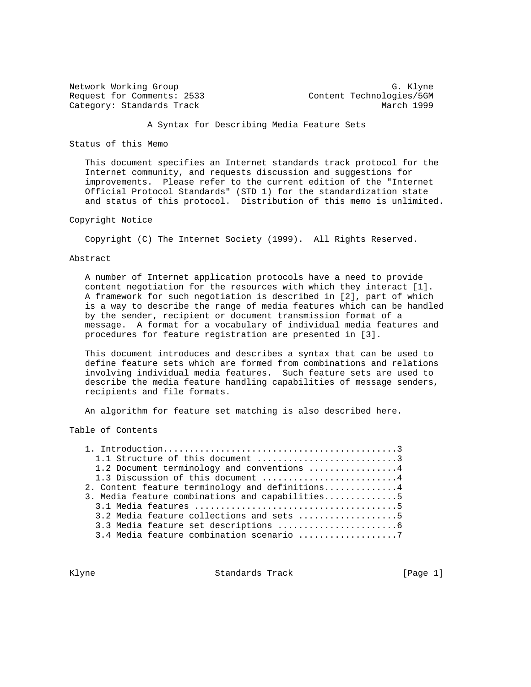Network Working Group<br>Request for Comments: 2533 (and Content Technologies/5GM Category: Standards Track March 1999

Content Technologies/5GM

#### A Syntax for Describing Media Feature Sets

Status of this Memo

 This document specifies an Internet standards track protocol for the Internet community, and requests discussion and suggestions for improvements. Please refer to the current edition of the "Internet Official Protocol Standards" (STD 1) for the standardization state and status of this protocol. Distribution of this memo is unlimited.

#### Copyright Notice

Copyright (C) The Internet Society (1999). All Rights Reserved.

#### Abstract

 A number of Internet application protocols have a need to provide content negotiation for the resources with which they interact [1]. A framework for such negotiation is described in [2], part of which is a way to describe the range of media features which can be handled by the sender, recipient or document transmission format of a message. A format for a vocabulary of individual media features and procedures for feature registration are presented in [3].

 This document introduces and describes a syntax that can be used to define feature sets which are formed from combinations and relations involving individual media features. Such feature sets are used to describe the media feature handling capabilities of message senders, recipients and file formats.

An algorithm for feature set matching is also described here.

Table of Contents

| 1.1 Structure of this document 3                |
|-------------------------------------------------|
| 1.2 Document terminology and conventions 4      |
| 1.3 Discussion of this document 4               |
| 2. Content feature terminology and definitions4 |
| 3. Media feature combinations and capabilities5 |
|                                                 |
| 3.2 Media feature collections and sets 5        |
|                                                 |
| 3.4 Media feature combination scenario 7        |
|                                                 |

Klyne **Standards Track** [Page 1]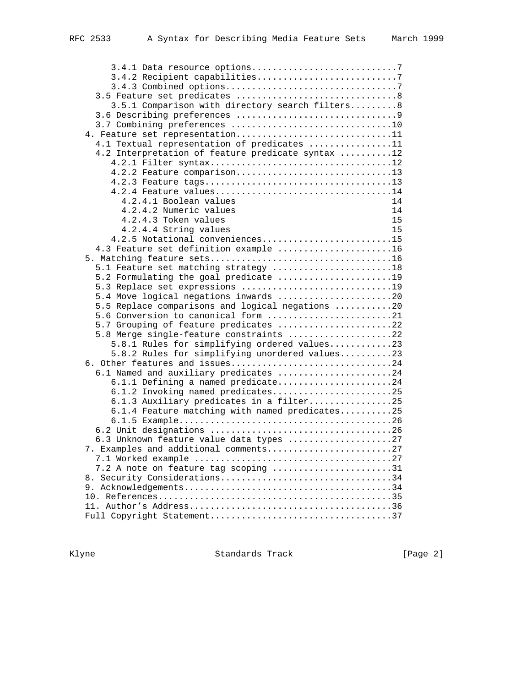| 3.4.1 Data resource options7                      |
|---------------------------------------------------|
|                                                   |
|                                                   |
|                                                   |
| 3.5.1 Comparison with directory search filters8   |
|                                                   |
| 3.7 Combining preferences 10                      |
| 4. Feature set representation11                   |
| 4.1 Textual representation of predicates 11       |
| 4.2 Interpretation of feature predicate syntax 12 |
| 4.2.1 Filter syntax12                             |
| 4.2.2 Feature comparison13                        |
|                                                   |
| 4.2.4 Feature values14                            |
| 4.2.4.1 Boolean values<br>14                      |
| 4.2.4.2 Numeric values<br>14                      |
| 4.2.4.3 Token values<br>15                        |
| 4.2.4.4 String values<br>15                       |
|                                                   |
| 4.2.5 Notational conveniences15                   |
| 4.3 Feature set definition example 16             |
|                                                   |
| 5.1 Feature set matching strategy 18              |
| 5.2 Formulating the goal predicate 19             |
| 5.3 Replace set expressions 19                    |
| 5.4 Move logical negations inwards 20             |
| 5.5 Replace comparisons and logical negations 20  |
| 5.6 Conversion to canonical form 21               |
| 5.7 Grouping of feature predicates 22             |
| 5.8 Merge single-feature constraints 22           |
| 5.8.1 Rules for simplifying ordered values23      |
| 5.8.2 Rules for simplifying unordered values23    |
| 6. Other features and issues24                    |
| 6.1 Named and auxiliary predicates 24             |
| 6.1.1 Defining a named predicate24                |
| 6.1.2 Invoking named predicates25                 |
| 6.1.3 Auxiliary predicates in a filter25          |
| 6.1.4 Feature matching with named predicates25    |
|                                                   |
|                                                   |
| 6.3 Unknown feature value data types 27           |
| 7. Examples and additional comments27             |
|                                                   |
| 7.2 A note on feature tag scoping 31              |
| 8. Security Considerations34                      |
|                                                   |
|                                                   |
|                                                   |
|                                                   |

Klyne Standards Track [Page 2]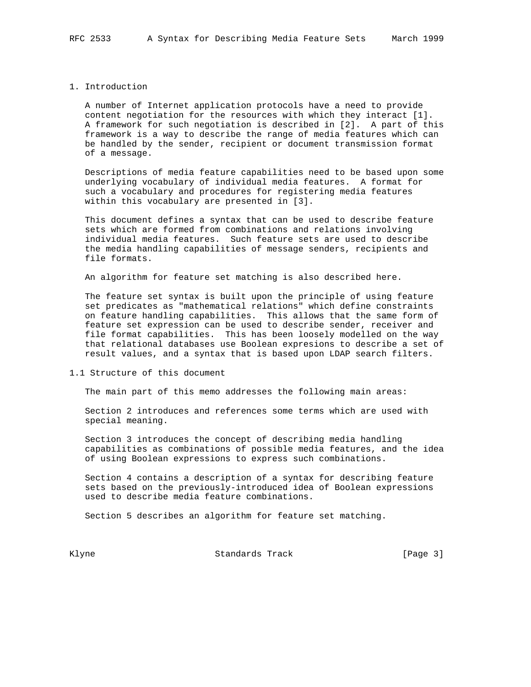#### 1. Introduction

 A number of Internet application protocols have a need to provide content negotiation for the resources with which they interact [1]. A framework for such negotiation is described in [2]. A part of this framework is a way to describe the range of media features which can be handled by the sender, recipient or document transmission format of a message.

 Descriptions of media feature capabilities need to be based upon some underlying vocabulary of individual media features. A format for such a vocabulary and procedures for registering media features within this vocabulary are presented in [3].

 This document defines a syntax that can be used to describe feature sets which are formed from combinations and relations involving individual media features. Such feature sets are used to describe the media handling capabilities of message senders, recipients and file formats.

An algorithm for feature set matching is also described here.

 The feature set syntax is built upon the principle of using feature set predicates as "mathematical relations" which define constraints on feature handling capabilities. This allows that the same form of feature set expression can be used to describe sender, receiver and file format capabilities. This has been loosely modelled on the way that relational databases use Boolean expresions to describe a set of result values, and a syntax that is based upon LDAP search filters.

1.1 Structure of this document

The main part of this memo addresses the following main areas:

 Section 2 introduces and references some terms which are used with special meaning.

 Section 3 introduces the concept of describing media handling capabilities as combinations of possible media features, and the idea of using Boolean expressions to express such combinations.

 Section 4 contains a description of a syntax for describing feature sets based on the previously-introduced idea of Boolean expressions used to describe media feature combinations.

Section 5 describes an algorithm for feature set matching.

Klyne Standards Track (Page 3)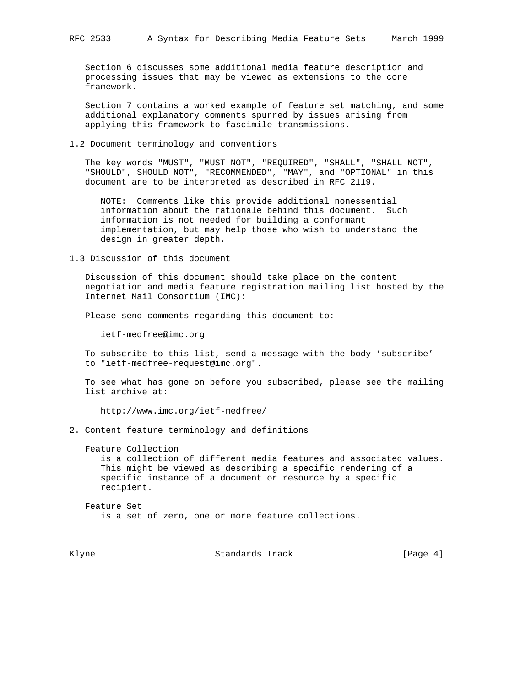Section 6 discusses some additional media feature description and processing issues that may be viewed as extensions to the core framework.

 Section 7 contains a worked example of feature set matching, and some additional explanatory comments spurred by issues arising from applying this framework to fascimile transmissions.

1.2 Document terminology and conventions

 The key words "MUST", "MUST NOT", "REQUIRED", "SHALL", "SHALL NOT", "SHOULD", SHOULD NOT", "RECOMMENDED", "MAY", and "OPTIONAL" in this document are to be interpreted as described in RFC 2119.

 NOTE: Comments like this provide additional nonessential information about the rationale behind this document. Such information is not needed for building a conformant implementation, but may help those who wish to understand the design in greater depth.

1.3 Discussion of this document

 Discussion of this document should take place on the content negotiation and media feature registration mailing list hosted by the Internet Mail Consortium (IMC):

Please send comments regarding this document to:

ietf-medfree@imc.org

 To subscribe to this list, send a message with the body 'subscribe' to "ietf-medfree-request@imc.org".

 To see what has gone on before you subscribed, please see the mailing list archive at:

http://www.imc.org/ietf-medfree/

2. Content feature terminology and definitions

 Feature Collection is a collection of different media features and associated values. This might be viewed as describing a specific rendering of a specific instance of a document or resource by a specific recipient.

 Feature Set is a set of zero, one or more feature collections.

Klyne **Standards Track** [Page 4]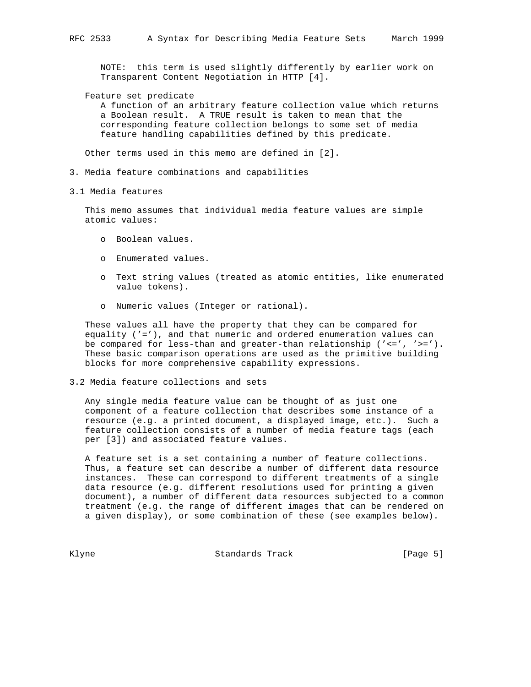NOTE: this term is used slightly differently by earlier work on Transparent Content Negotiation in HTTP [4].

Feature set predicate

 A function of an arbitrary feature collection value which returns a Boolean result. A TRUE result is taken to mean that the corresponding feature collection belongs to some set of media feature handling capabilities defined by this predicate.

Other terms used in this memo are defined in [2].

- 3. Media feature combinations and capabilities
- 3.1 Media features

 This memo assumes that individual media feature values are simple atomic values:

- o Boolean values.
- o Enumerated values.
- o Text string values (treated as atomic entities, like enumerated value tokens).
- o Numeric values (Integer or rational).

 These values all have the property that they can be compared for equality ('='), and that numeric and ordered enumeration values can be compared for less-than and greater-than relationship  $('<=', '>=').$  These basic comparison operations are used as the primitive building blocks for more comprehensive capability expressions.

## 3.2 Media feature collections and sets

 Any single media feature value can be thought of as just one component of a feature collection that describes some instance of a resource (e.g. a printed document, a displayed image, etc.). Such a feature collection consists of a number of media feature tags (each per [3]) and associated feature values.

 A feature set is a set containing a number of feature collections. Thus, a feature set can describe a number of different data resource instances. These can correspond to different treatments of a single data resource (e.g. different resolutions used for printing a given document), a number of different data resources subjected to a common treatment (e.g. the range of different images that can be rendered on a given display), or some combination of these (see examples below).

Klyne Standards Track (Page 5)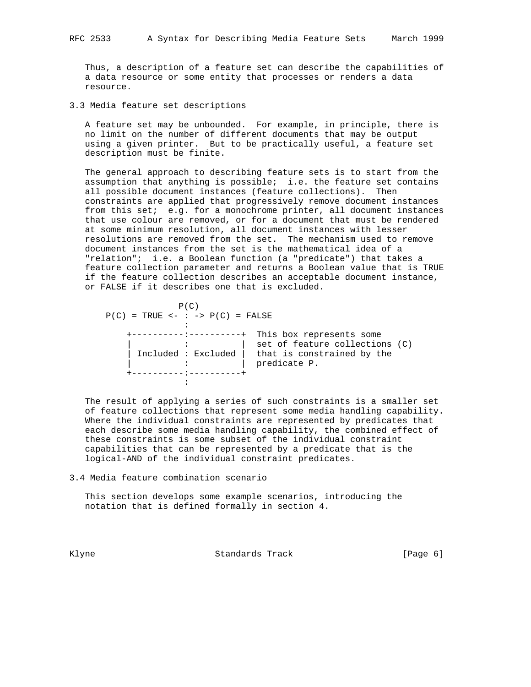Thus, a description of a feature set can describe the capabilities of a data resource or some entity that processes or renders a data resource.

3.3 Media feature set descriptions

 A feature set may be unbounded. For example, in principle, there is no limit on the number of different documents that may be output using a given printer. But to be practically useful, a feature set description must be finite.

 The general approach to describing feature sets is to start from the assumption that anything is possible; i.e. the feature set contains all possible document instances (feature collections). Then constraints are applied that progressively remove document instances from this set; e.g. for a monochrome printer, all document instances that use colour are removed, or for a document that must be rendered at some minimum resolution, all document instances with lesser resolutions are removed from the set. The mechanism used to remove document instances from the set is the mathematical idea of a "relation"; i.e. a Boolean function (a "predicate") that takes a feature collection parameter and returns a Boolean value that is TRUE if the feature collection describes an acceptable document instance, or FALSE if it describes one that is excluded.

| P(C)<br>$P(C)$ = TRUE <- : -> $P(C)$ = FALSE |                     |                                                                                                          |  |
|----------------------------------------------|---------------------|----------------------------------------------------------------------------------------------------------|--|
|                                              | Included : Excluded | This box represents some<br>set of feature collections (C)<br>that is constrained by the<br>predicate P. |  |
|                                              |                     |                                                                                                          |  |

 The result of applying a series of such constraints is a smaller set of feature collections that represent some media handling capability. Where the individual constraints are represented by predicates that each describe some media handling capability, the combined effect of these constraints is some subset of the individual constraint capabilities that can be represented by a predicate that is the logical-AND of the individual constraint predicates.

3.4 Media feature combination scenario

 This section develops some example scenarios, introducing the notation that is defined formally in section 4.

Klyne **Standards Track** (Page 6)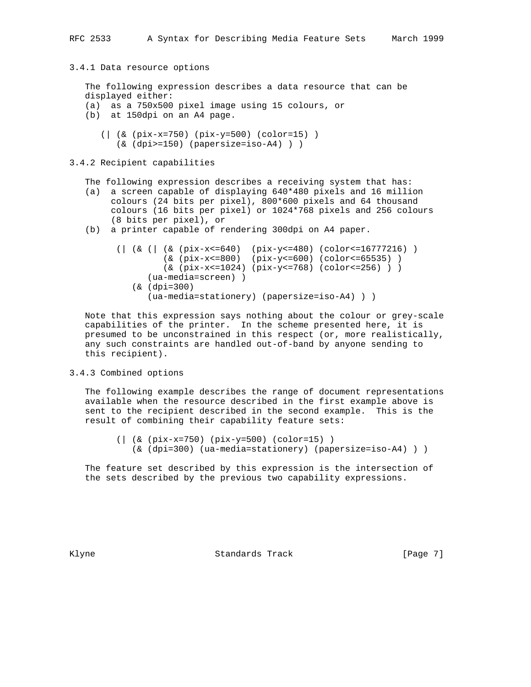## 3.4.1 Data resource options

 The following expression describes a data resource that can be displayed either: (a) as a 750x500 pixel image using 15 colours, or

- (b) at 150dpi on an A4 page.
	- (| (& (pix-x=750) (pix-y=500) (color=15) ) (& (dpi>=150) (papersize=iso-A4) ) )

## 3.4.2 Recipient capabilities

The following expression describes a receiving system that has:

- (a) a screen capable of displaying 640\*480 pixels and 16 million colours (24 bits per pixel), 800\*600 pixels and 64 thousand colours (16 bits per pixel) or 1024\*768 pixels and 256 colours (8 bits per pixel), or
- (b) a printer capable of rendering 300dpi on A4 paper.

```
 (| (& (| (& (pix-x<=640) (pix-y<=480) (color<=16777216) )
          (& (pix-x<=800) (pix-y<=600) (color<=65535) )
          (& (pix-x<=1024) (pix-y<=768) (color<=256) ) )
       (ua-media=screen) )
    (& (dpi=300)
       (ua-media=stationery) (papersize=iso-A4) ) )
```
 Note that this expression says nothing about the colour or grey-scale capabilities of the printer. In the scheme presented here, it is presumed to be unconstrained in this respect (or, more realistically, any such constraints are handled out-of-band by anyone sending to this recipient).

#### 3.4.3 Combined options

 The following example describes the range of document representations available when the resource described in the first example above is sent to the recipient described in the second example. This is the result of combining their capability feature sets:

```
 (| (& (pix-x=750) (pix-y=500) (color=15) )
   (& (dpi=300) (ua-media=stationery) (papersize=iso-A4) ) )
```
 The feature set described by this expression is the intersection of the sets described by the previous two capability expressions.

Klyne **Standards Track** (Page 7)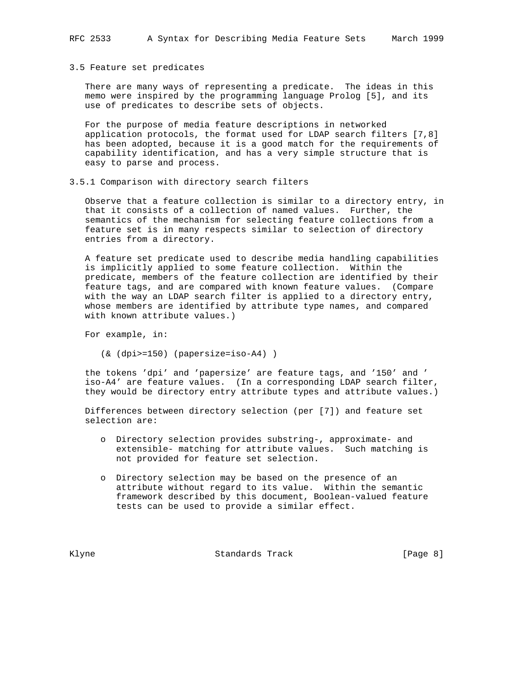#### 3.5 Feature set predicates

 There are many ways of representing a predicate. The ideas in this memo were inspired by the programming language Prolog [5], and its use of predicates to describe sets of objects.

 For the purpose of media feature descriptions in networked application protocols, the format used for LDAP search filters [7,8] has been adopted, because it is a good match for the requirements of capability identification, and has a very simple structure that is easy to parse and process.

## 3.5.1 Comparison with directory search filters

 Observe that a feature collection is similar to a directory entry, in that it consists of a collection of named values. Further, the semantics of the mechanism for selecting feature collections from a feature set is in many respects similar to selection of directory entries from a directory.

 A feature set predicate used to describe media handling capabilities is implicitly applied to some feature collection. Within the predicate, members of the feature collection are identified by their feature tags, and are compared with known feature values. (Compare with the way an LDAP search filter is applied to a directory entry, whose members are identified by attribute type names, and compared with known attribute values.)

For example, in:

(& (dpi>=150) (papersize=iso-A4) )

 the tokens 'dpi' and 'papersize' are feature tags, and '150' and ' iso-A4' are feature values. (In a corresponding LDAP search filter, they would be directory entry attribute types and attribute values.)

 Differences between directory selection (per [7]) and feature set selection are:

- o Directory selection provides substring-, approximate- and extensible- matching for attribute values. Such matching is not provided for feature set selection.
- o Directory selection may be based on the presence of an attribute without regard to its value. Within the semantic framework described by this document, Boolean-valued feature tests can be used to provide a similar effect.

Klyne Standards Track (Page 8)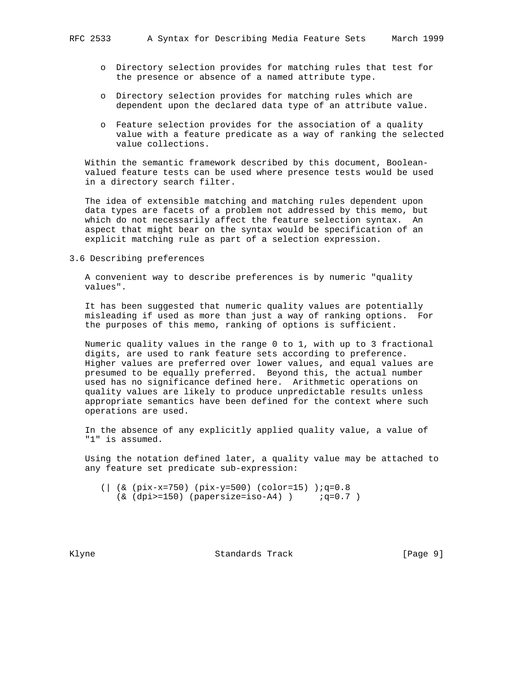- 
- o Directory selection provides for matching rules that test for the presence or absence of a named attribute type.
- o Directory selection provides for matching rules which are dependent upon the declared data type of an attribute value.
- o Feature selection provides for the association of a quality value with a feature predicate as a way of ranking the selected value collections.

 Within the semantic framework described by this document, Boolean valued feature tests can be used where presence tests would be used in a directory search filter.

 The idea of extensible matching and matching rules dependent upon data types are facets of a problem not addressed by this memo, but which do not necessarily affect the feature selection syntax. An aspect that might bear on the syntax would be specification of an explicit matching rule as part of a selection expression.

3.6 Describing preferences

 A convenient way to describe preferences is by numeric "quality values".

 It has been suggested that numeric quality values are potentially misleading if used as more than just a way of ranking options. For the purposes of this memo, ranking of options is sufficient.

 Numeric quality values in the range 0 to 1, with up to 3 fractional digits, are used to rank feature sets according to preference. Higher values are preferred over lower values, and equal values are presumed to be equally preferred. Beyond this, the actual number used has no significance defined here. Arithmetic operations on quality values are likely to produce unpredictable results unless appropriate semantics have been defined for the context where such operations are used.

 In the absence of any explicitly applied quality value, a value of "1" is assumed.

 Using the notation defined later, a quality value may be attached to any feature set predicate sub-expression:

 (| (& (pix-x=750) (pix-y=500) (color=15) );q=0.8  $(x (dpi)=150)$  (papersize=iso-A4) )  $iq=0.7$ 

Klyne Standards Track [Page 9]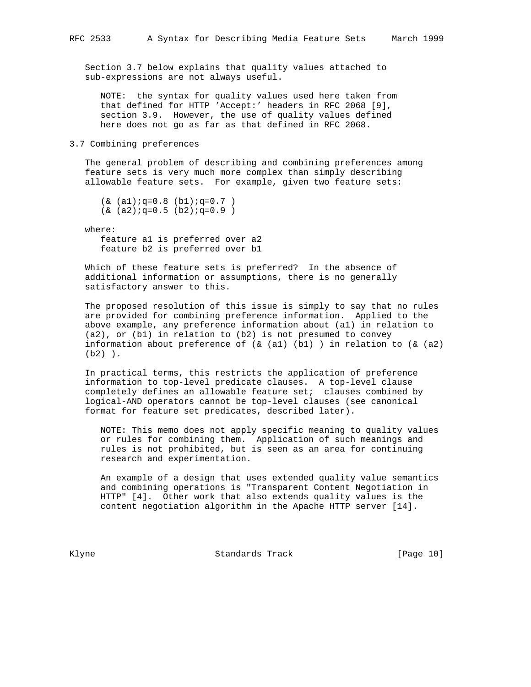Section 3.7 below explains that quality values attached to sub-expressions are not always useful.

 NOTE: the syntax for quality values used here taken from that defined for HTTP 'Accept:' headers in RFC 2068 [9], section 3.9. However, the use of quality values defined here does not go as far as that defined in RFC 2068.

#### 3.7 Combining preferences

 The general problem of describing and combining preferences among feature sets is very much more complex than simply describing allowable feature sets. For example, given two feature sets:

```
(k (a1);q=0.8 (b1);q=0.7)(x (a2);q=0.5 (b2);q=0.9)
```
where:

 feature a1 is preferred over a2 feature b2 is preferred over b1

 Which of these feature sets is preferred? In the absence of additional information or assumptions, there is no generally satisfactory answer to this.

 The proposed resolution of this issue is simply to say that no rules are provided for combining preference information. Applied to the above example, any preference information about (a1) in relation to (a2), or (b1) in relation to (b2) is not presumed to convey information about preference of  $( & 2)$  (b1) ) in relation to  $( & 2)$ (b2) ).

 In practical terms, this restricts the application of preference information to top-level predicate clauses. A top-level clause completely defines an allowable feature set; clauses combined by logical-AND operators cannot be top-level clauses (see canonical format for feature set predicates, described later).

 NOTE: This memo does not apply specific meaning to quality values or rules for combining them. Application of such meanings and rules is not prohibited, but is seen as an area for continuing research and experimentation.

 An example of a design that uses extended quality value semantics and combining operations is "Transparent Content Negotiation in HTTP" [4]. Other work that also extends quality values is the content negotiation algorithm in the Apache HTTP server [14].

Klyne Standards Track [Page 10]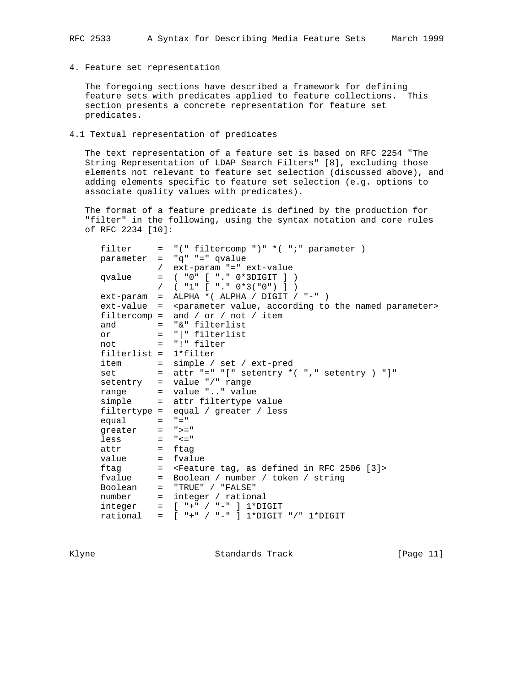4. Feature set representation

 The foregoing sections have described a framework for defining feature sets with predicates applied to feature collections. This section presents a concrete representation for feature set predicates.

4.1 Textual representation of predicates

 The text representation of a feature set is based on RFC 2254 "The String Representation of LDAP Search Filters" [8], excluding those elements not relevant to feature set selection (discussed above), and adding elements specific to feature set selection (e.g. options to associate quality values with predicates).

 The format of a feature predicate is defined by the production for "filter" in the following, using the syntax notation and core rules of RFC 2234 [10]:

| filter                  | $=$ "(" filtercomp ")" *(";" parameter )                                            |
|-------------------------|-------------------------------------------------------------------------------------|
|                         | $parameter = "q" "-" qvalue$                                                        |
|                         | / ext-param "=" ext-value                                                           |
| qvalue                  | $=$ ( "0" [ "." 0*3DIGIT ] )                                                        |
|                         | / $( "1" [ "." 0*3("0") ] )$                                                        |
| ext-param               | $=$ ALPHA * (ALPHA / DIGIT / "-" )                                                  |
| ext-value               | = <parameter according="" named="" parameter="" the="" to="" value,=""></parameter> |
|                         | filtercomp = and / or / not / item                                                  |
| and                     | = "&" filterlist                                                                    |
|                         | or $=$ " " filterlist                                                               |
|                         | $not = "!" filter$                                                                  |
| $filterlist = 1*filter$ |                                                                                     |
|                         | $item = simple / set / ext-pred$                                                    |
|                         | set = attr "=" "[" setentry $*($ "," setentry $)$ "]"                               |
|                         | setentry = value "/" range                                                          |
|                         | range = value "" value                                                              |
|                         | simple = attr filtertype value                                                      |
|                         | filtertype = equal / greater / less                                                 |
| equal                   | $=$ $" = "$                                                                         |
| greater $=$ ">="        |                                                                                     |
| $less = "<="$           |                                                                                     |
| $attr = ftag$           |                                                                                     |
| value                   | $=$ fyalue                                                                          |
|                         | ftag = <feature 2506="" [3]="" as="" defined="" in="" rfc="" tag,=""></feature>     |
|                         | fvalue = Boolean / number / token / string                                          |
| Boolean                 | $=$ "TRUE" / "FALSE"                                                                |
| number                  | $=$ integer / rational                                                              |
| integer                 | $=$ [ "+" / "-" ] 1*DIGIT                                                           |
| rational                | $=$ [ "+" / "-" ] 1*DIGIT "/" 1*DIGIT                                               |

Klyne Standards Track [Page 11]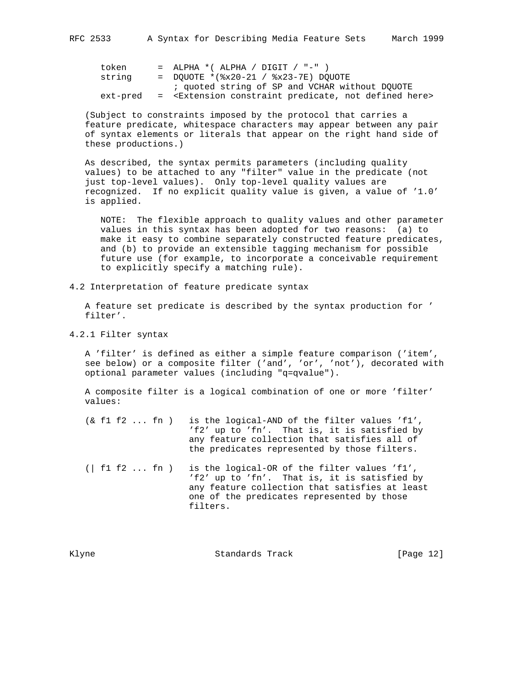| token    | $=$ ALPHA *( ALPHA / DIGIT / "-" )                                              |
|----------|---------------------------------------------------------------------------------|
| string   | $=$ DOUOTE *(%x20-21 / %x23-7E) DOUOTE                                          |
|          | ; quoted string of SP and VCHAR without DOUOTE                                  |
| ext-pred | = <extension constraint="" defined="" here="" not="" predicate,=""></extension> |

 (Subject to constraints imposed by the protocol that carries a feature predicate, whitespace characters may appear between any pair of syntax elements or literals that appear on the right hand side of these productions.)

 As described, the syntax permits parameters (including quality values) to be attached to any "filter" value in the predicate (not just top-level values). Only top-level quality values are recognized. If no explicit quality value is given, a value of '1.0' is applied.

 NOTE: The flexible approach to quality values and other parameter values in this syntax has been adopted for two reasons: (a) to make it easy to combine separately constructed feature predicates, and (b) to provide an extensible tagging mechanism for possible future use (for example, to incorporate a conceivable requirement to explicitly specify a matching rule).

4.2 Interpretation of feature predicate syntax

 A feature set predicate is described by the syntax production for ' filter'.

4.2.1 Filter syntax

 A 'filter' is defined as either a simple feature comparison ('item', see below) or a composite filter ('and', 'or', 'not'), decorated with optional parameter values (including "q=qvalue").

 A composite filter is a logical combination of one or more 'filter' values:

- (& f1 f2 ... fn ) is the logical-AND of the filter values 'f1', 'f2' up to 'fn'. That is, it is satisfied by any feature collection that satisfies all of the predicates represented by those filters.
- (| f1 f2 ... fn ) is the logical-OR of the filter values 'f1', 'f2' up to 'fn'. That is, it is satisfied by any feature collection that satisfies at least one of the predicates represented by those filters.

Klyne Standards Track [Page 12]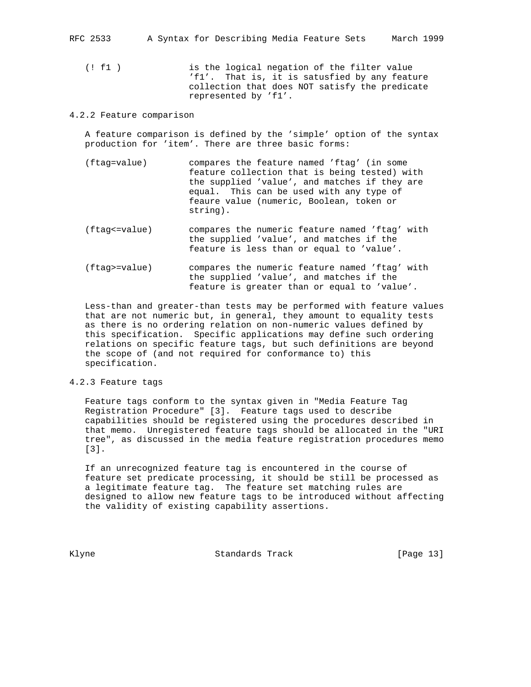RFC 2533 A Syntax for Describing Media Feature Sets March 1999

 (! f1 ) is the logical negation of the filter value 'f1'. That is, it is satusfied by any feature collection that does NOT satisfy the predicate represented by 'f1'.

#### 4.2.2 Feature comparison

 A feature comparison is defined by the 'simple' option of the syntax production for 'item'. There are three basic forms:

- (ftag=value) compares the feature named 'ftag' (in some feature collection that is being tested) with the supplied 'value', and matches if they are equal. This can be used with any type of feaure value (numeric, Boolean, token or string).
- (ftag<=value) compares the numeric feature named 'ftag' with the supplied 'value', and matches if the feature is less than or equal to 'value'.
- (ftag>=value) compares the numeric feature named 'ftag' with the supplied 'value', and matches if the feature is greater than or equal to 'value'.

 Less-than and greater-than tests may be performed with feature values that are not numeric but, in general, they amount to equality tests as there is no ordering relation on non-numeric values defined by this specification. Specific applications may define such ordering relations on specific feature tags, but such definitions are beyond the scope of (and not required for conformance to) this specification.

## 4.2.3 Feature tags

 Feature tags conform to the syntax given in "Media Feature Tag Registration Procedure" [3]. Feature tags used to describe capabilities should be registered using the procedures described in that memo. Unregistered feature tags should be allocated in the "URI tree", as discussed in the media feature registration procedures memo [3].

 If an unrecognized feature tag is encountered in the course of feature set predicate processing, it should be still be processed as a legitimate feature tag. The feature set matching rules are designed to allow new feature tags to be introduced without affecting the validity of existing capability assertions.

Klyne Standards Track [Page 13]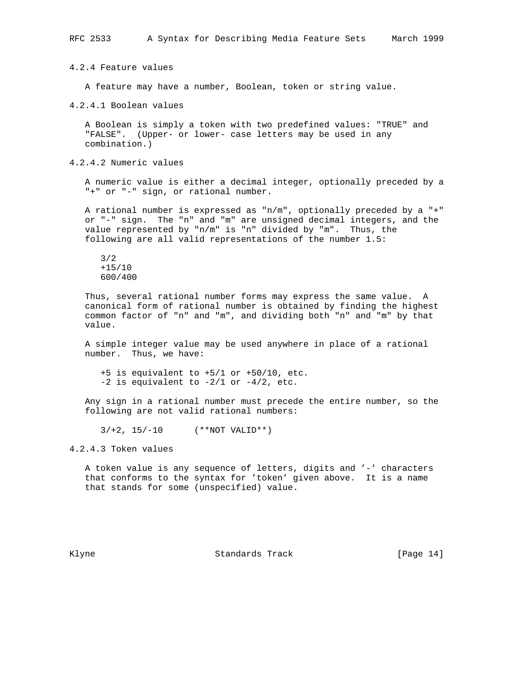4.2.4 Feature values

A feature may have a number, Boolean, token or string value.

4.2.4.1 Boolean values

 A Boolean is simply a token with two predefined values: "TRUE" and "FALSE". (Upper- or lower- case letters may be used in any combination.)

4.2.4.2 Numeric values

 A numeric value is either a decimal integer, optionally preceded by a "+" or "-" sign, or rational number.

 A rational number is expressed as "n/m", optionally preceded by a "+" or "-" sign. The "n" and "m" are unsigned decimal integers, and the value represented by "n/m" is "n" divided by "m". Thus, the following are all valid representations of the number 1.5:

 3/2 +15/10 600/400

 Thus, several rational number forms may express the same value. A canonical form of rational number is obtained by finding the highest common factor of "n" and "m", and dividing both "n" and "m" by that value.

 A simple integer value may be used anywhere in place of a rational number. Thus, we have:

 +5 is equivalent to +5/1 or +50/10, etc.  $-2$  is equivalent to  $-2/1$  or  $-4/2$ , etc.

 Any sign in a rational number must precede the entire number, so the following are not valid rational numbers:

 $3/+2, 15/-10$  (\*\*NOT VALID\*\*)

4.2.4.3 Token values

 A token value is any sequence of letters, digits and '-' characters that conforms to the syntax for 'token' given above. It is a name that stands for some (unspecified) value.

Klyne Standards Track [Page 14]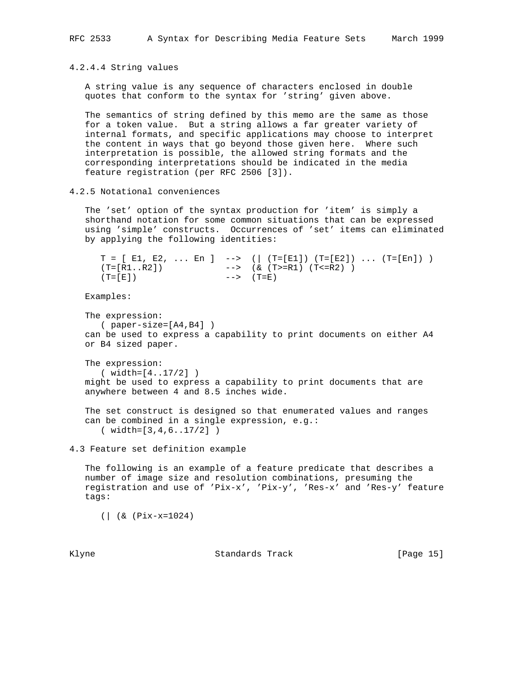4.2.4.4 String values

 A string value is any sequence of characters enclosed in double quotes that conform to the syntax for 'string' given above.

 The semantics of string defined by this memo are the same as those for a token value. But a string allows a far greater variety of internal formats, and specific applications may choose to interpret the content in ways that go beyond those given here. Where such interpretation is possible, the allowed string formats and the corresponding interpretations should be indicated in the media feature registration (per RFC 2506 [3]).

4.2.5 Notational conveniences

 The 'set' option of the syntax production for 'item' is simply a shorthand notation for some common situations that can be expressed using 'simple' constructs. Occurrences of 'set' items can eliminated by applying the following identities:

|             | $T = [E1, E2,  En]$ --> (  $(T=[E1]) (T=[E2])  (T=[En]) )$ |
|-------------|------------------------------------------------------------|
| (T=[R1R2])  | --> (& (T>=R1) (T<=R2) )                                   |
| $(T = [E])$ | --> (T=E)                                                  |

Examples:

```
 The expression:
   ( paper-size=[A4,B4] )
 can be used to express a capability to print documents on either A4
 or B4 sized paper.
```
 The expression: ( width=[4..17/2] ) might be used to express a capability to print documents that are anywhere between 4 and 8.5 inches wide.

```
 The set construct is designed so that enumerated values and ranges
 can be combined in a single expression, e.g.:
   ( width=[3,4,6..17/2] )
```
4.3 Feature set definition example

 The following is an example of a feature predicate that describes a number of image size and resolution combinations, presuming the registration and use of 'Pix-x', 'Pix-y', 'Res-x' and 'Res-y' feature tags:

(| (& (Pix-x=1024)

Klyne **Standards Track** [Page 15]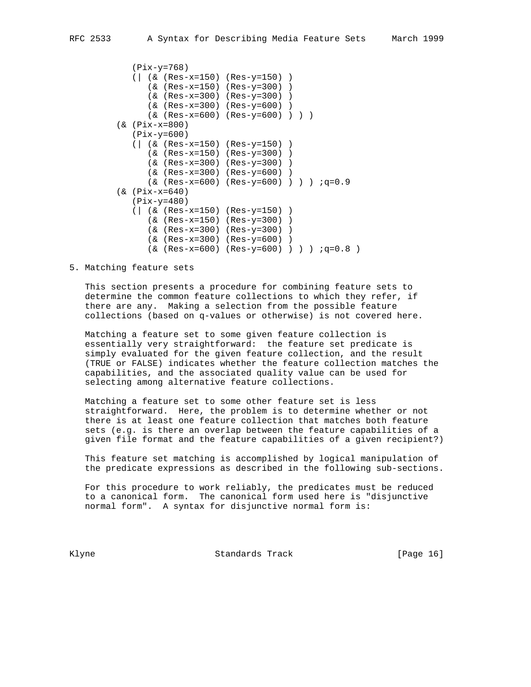```
 (Pix-y=768)
    (| (& (Res-x=150) (Res-y=150) )
       (& (Res-x=150) (Res-y=300) )
       (& (Res-x=300) (Res-y=300) )
       (& (Res-x=300) (Res-y=600) )
       (& (Res-x=600) (Res-y=600) ) ) )
 (& (Pix-x=800)
    (Pix-y=600)
    (| (& (Res-x=150) (Res-y=150) )
       (& (Res-x=150) (Res-y=300) )
       (& (Res-x=300) (Res-y=300) )
       (& (Res-x=300) (Res-y=600) )
      (k (Res-x=600) (Res-y=600) ) ) ) iq=0.9 (& (Pix-x=640)
    (Pix-y=480)
    (| (& (Res-x=150) (Res-y=150) )
       (& (Res-x=150) (Res-y=300) )
       (& (Res-x=300) (Res-y=300) )
       (& (Res-x=300) (Res-y=600) )
      (\& \text{(Res-}x=600) \& \text{Res-}y=600) ) ) ( \text{q=0.8}
```
5. Matching feature sets

 This section presents a procedure for combining feature sets to determine the common feature collections to which they refer, if there are any. Making a selection from the possible feature collections (based on q-values or otherwise) is not covered here.

 Matching a feature set to some given feature collection is essentially very straightforward: the feature set predicate is simply evaluated for the given feature collection, and the result (TRUE or FALSE) indicates whether the feature collection matches the capabilities, and the associated quality value can be used for selecting among alternative feature collections.

 Matching a feature set to some other feature set is less straightforward. Here, the problem is to determine whether or not there is at least one feature collection that matches both feature sets (e.g. is there an overlap between the feature capabilities of a given file format and the feature capabilities of a given recipient?)

 This feature set matching is accomplished by logical manipulation of the predicate expressions as described in the following sub-sections.

 For this procedure to work reliably, the predicates must be reduced to a canonical form. The canonical form used here is "disjunctive normal form". A syntax for disjunctive normal form is:

Klyne **Standards Track** [Page 16]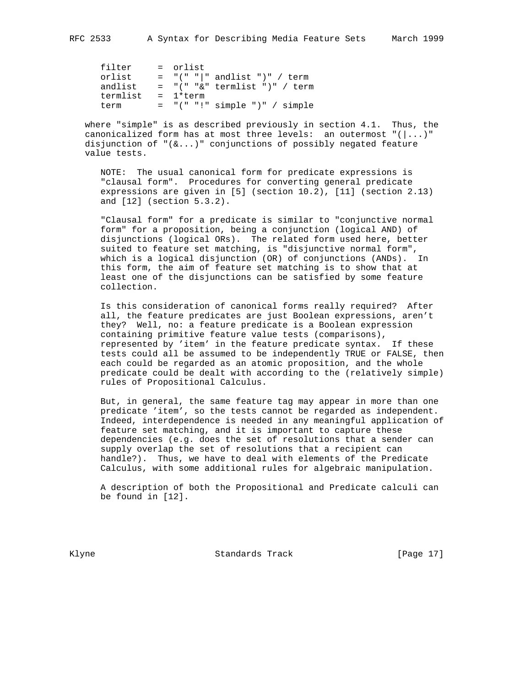| filter   | = orlist                        |
|----------|---------------------------------|
| orlist   | $=$ "(" " " andlist ")" / term  |
| andlist  | $=$ "(" "&" termlist ")" / term |
| termlist | = 1*term                        |
| term     | $=$ "(" "!" simple ")" / simple |

 where "simple" is as described previously in section 4.1. Thus, the canonicalized form has at most three levels: an outermost  $"(\ldots)"$ disjunction of " $(\&\dots)$ " conjunctions of possibly negated feature value tests.

 NOTE: The usual canonical form for predicate expressions is "clausal form". Procedures for converting general predicate expressions are given in [5] (section 10.2), [11] (section 2.13) and [12] (section 5.3.2).

 "Clausal form" for a predicate is similar to "conjunctive normal form" for a proposition, being a conjunction (logical AND) of disjunctions (logical ORs). The related form used here, better suited to feature set matching, is "disjunctive normal form", which is a logical disjunction (OR) of conjunctions (ANDs). In this form, the aim of feature set matching is to show that at least one of the disjunctions can be satisfied by some feature collection.

 Is this consideration of canonical forms really required? After all, the feature predicates are just Boolean expressions, aren't they? Well, no: a feature predicate is a Boolean expression containing primitive feature value tests (comparisons), represented by 'item' in the feature predicate syntax. If these tests could all be assumed to be independently TRUE or FALSE, then each could be regarded as an atomic proposition, and the whole predicate could be dealt with according to the (relatively simple) rules of Propositional Calculus.

 But, in general, the same feature tag may appear in more than one predicate 'item', so the tests cannot be regarded as independent. Indeed, interdependence is needed in any meaningful application of feature set matching, and it is important to capture these dependencies (e.g. does the set of resolutions that a sender can supply overlap the set of resolutions that a recipient can handle?). Thus, we have to deal with elements of the Predicate Calculus, with some additional rules for algebraic manipulation.

 A description of both the Propositional and Predicate calculi can be found in [12].

Klyne Standards Track [Page 17]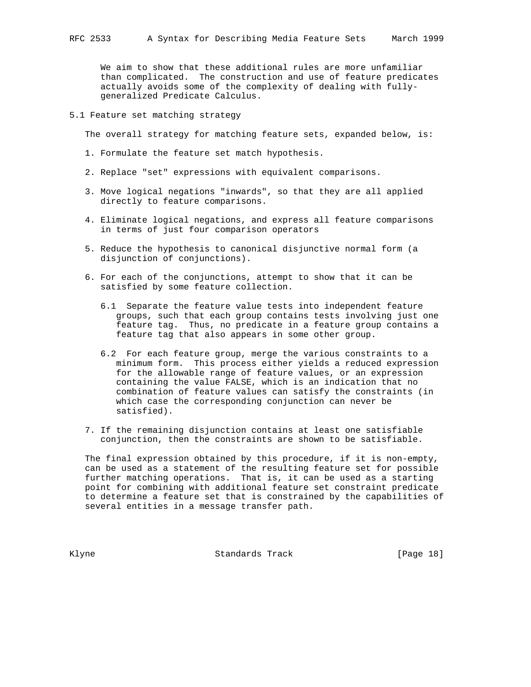We aim to show that these additional rules are more unfamiliar than complicated. The construction and use of feature predicates actually avoids some of the complexity of dealing with fully generalized Predicate Calculus.

## 5.1 Feature set matching strategy

The overall strategy for matching feature sets, expanded below, is:

- 1. Formulate the feature set match hypothesis.
- 2. Replace "set" expressions with equivalent comparisons.
- 3. Move logical negations "inwards", so that they are all applied directly to feature comparisons.
- 4. Eliminate logical negations, and express all feature comparisons in terms of just four comparison operators
- 5. Reduce the hypothesis to canonical disjunctive normal form (a disjunction of conjunctions).
- 6. For each of the conjunctions, attempt to show that it can be satisfied by some feature collection.
	- 6.1 Separate the feature value tests into independent feature groups, such that each group contains tests involving just one feature tag. Thus, no predicate in a feature group contains a feature tag that also appears in some other group.
	- 6.2 For each feature group, merge the various constraints to a minimum form. This process either yields a reduced expression for the allowable range of feature values, or an expression containing the value FALSE, which is an indication that no combination of feature values can satisfy the constraints (in which case the corresponding conjunction can never be satisfied).
- 7. If the remaining disjunction contains at least one satisfiable conjunction, then the constraints are shown to be satisfiable.

 The final expression obtained by this procedure, if it is non-empty, can be used as a statement of the resulting feature set for possible further matching operations. That is, it can be used as a starting point for combining with additional feature set constraint predicate to determine a feature set that is constrained by the capabilities of several entities in a message transfer path.

Klyne Standards Track [Page 18]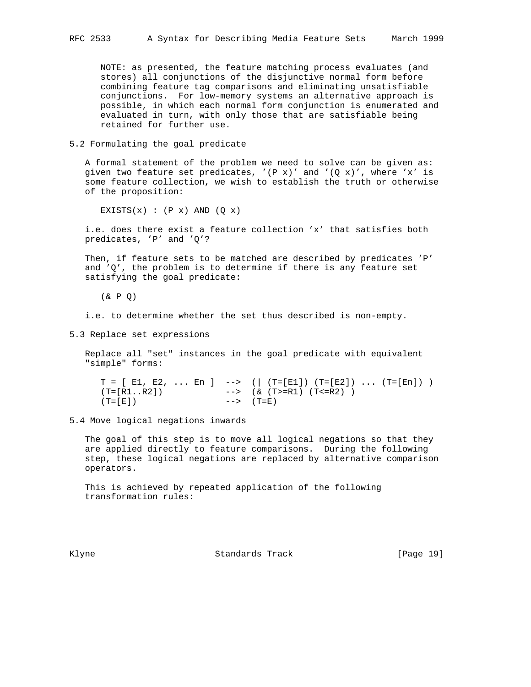NOTE: as presented, the feature matching process evaluates (and stores) all conjunctions of the disjunctive normal form before combining feature tag comparisons and eliminating unsatisfiable conjunctions. For low-memory systems an alternative approach is possible, in which each normal form conjunction is enumerated and evaluated in turn, with only those that are satisfiable being retained for further use.

5.2 Formulating the goal predicate

 A formal statement of the problem we need to solve can be given as: given two feature set predicates,  $'(P x)'$  and  $'(Q x)'$ , where 'x' is some feature collection, we wish to establish the truth or otherwise of the proposition:

EXISTS $(x)$ :  $(P x)$  AND  $(Q x)$ 

 i.e. does there exist a feature collection 'x' that satisfies both predicates, 'P' and 'Q'?

 Then, if feature sets to be matched are described by predicates 'P' and  $'Q'$ , the problem is to determine if there is any feature set satisfying the goal predicate:

(& P Q)

i.e. to determine whether the set thus described is non-empty.

5.3 Replace set expressions

 Replace all "set" instances in the goal predicate with equivalent "simple" forms:

 $T = [ E1, E2, ... En ] \longrightarrow ( | (T=[E1]) (T=[E2]) ... (T=[En]) )$ <br>  $(T=[R1..R2]) \longrightarrow ( & (T>=R1) (T<-R2) )$  $\left(--> (\& (T>=R1) (T<=R2))\right)$  $(T=[E])$  -->  $(T=E)$ 

5.4 Move logical negations inwards

 The goal of this step is to move all logical negations so that they are applied directly to feature comparisons. During the following step, these logical negations are replaced by alternative comparison operators.

 This is achieved by repeated application of the following transformation rules:

Klyne Standards Track [Page 19]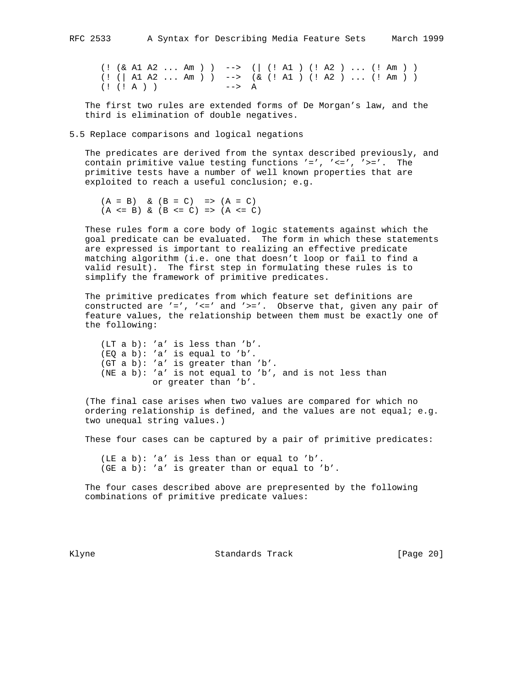(! (& A1 A2 ... Am ) ) --> (| (! A1 ) (! A2 ) ... (! Am ) ) (! (| A1 A2 ... Am ) ) --> (& (! A1 ) (! A2 ) ... (! Am ) ) (! (! A ) ) --> A

 The first two rules are extended forms of De Morgan's law, and the third is elimination of double negatives.

5.5 Replace comparisons and logical negations

 The predicates are derived from the syntax described previously, and contain primitive value testing functions  $'='$ ,  $'=''$ ,  $'>='$ . The primitive tests have a number of well known properties that are exploited to reach a useful conclusion; e.g.

 $(A = B)$  &  $(B = C)$  =>  $(A = C)$  $(A \leq B)$  &  $(B \leq C)$  =>  $(A \leq C)$ 

 These rules form a core body of logic statements against which the goal predicate can be evaluated. The form in which these statements are expressed is important to realizing an effective predicate matching algorithm (i.e. one that doesn't loop or fail to find a valid result). The first step in formulating these rules is to simplify the framework of primitive predicates.

 The primitive predicates from which feature set definitions are constructed are '=', '<=' and '>='. Observe that, given any pair of feature values, the relationship between them must be exactly one of the following:

 (LT a b): 'a' is less than 'b'. (EQ a b): 'a' is equal to 'b'. (GT a b): 'a' is greater than 'b'. (NE a b): 'a' is not equal to 'b', and is not less than or greater than 'b'.

 (The final case arises when two values are compared for which no ordering relationship is defined, and the values are not equal; e.g. two unequal string values.)

These four cases can be captured by a pair of primitive predicates:

 (LE a b): 'a' is less than or equal to 'b'. (GE a b): 'a' is greater than or equal to 'b'.

 The four cases described above are prepresented by the following combinations of primitive predicate values:

Klyne Standards Track [Page 20]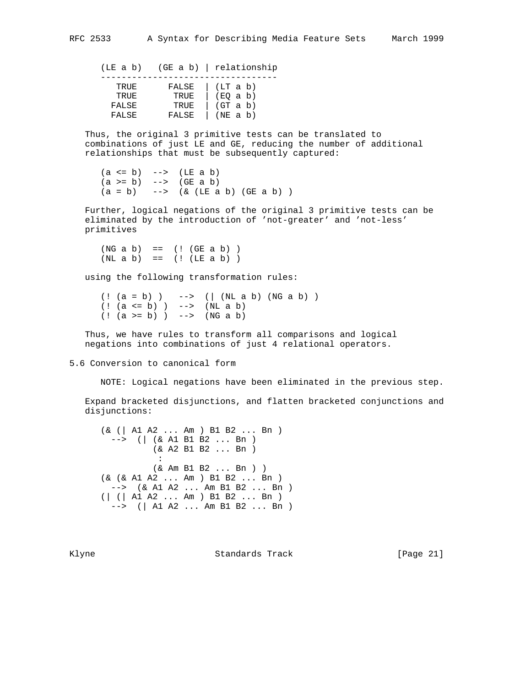(LE a b) (GE a b) | relationship ---------------------------------- TRUE FALSE | (LT a b) TRUE TRUE | (EQ a b)<br>FALSE TRUE | (GT a b) FALSE TRUE (GT a b) FALSE FALSE | (NE a b)

 Thus, the original 3 primitive tests can be translated to combinations of just LE and GE, reducing the number of additional relationships that must be subsequently captured:

 $(a \le b) \quad -- \ge (LE a b)$  $(a \ge b)$  -->  $(GE \ a \ b)$  $(a = b)$  -->  $(x (LE a b) (GE a b) )$ 

 Further, logical negations of the original 3 primitive tests can be eliminated by the introduction of 'not-greater' and 'not-less' primitives

 $(NG a b) = = (! (GE a b) )$  $(NL a b) = = (! (LE a b) )$ 

using the following transformation rules:

 $( ! (a = b) )$  -->  $( | (NL a b) (NG a b) )$  (! (a <= b) ) --> (NL a b) (! (a >= b) ) --> (NG a b)

 Thus, we have rules to transform all comparisons and logical negations into combinations of just 4 relational operators.

5.6 Conversion to canonical form

NOTE: Logical negations have been eliminated in the previous step.

 Expand bracketed disjunctions, and flatten bracketed conjunctions and disjunctions:

 (& (| A1 A2 ... Am ) B1 B2 ... Bn ) --> (| (& A1 B1 B2 ... Bn ) (& A2 B1 B2 ... Bn ) **Service State State State**  (& Am B1 B2 ... Bn ) ) (& (& A1 A2 ... Am ) B1 B2 ... Bn ) --> (& A1 A2 ... Am B1 B2 ... Bn ) (| (| A1 A2 ... Am ) B1 B2 ... Bn ) --> (| A1 A2 ... Am B1 B2 ... Bn )

Klyne **Standards Track** [Page 21]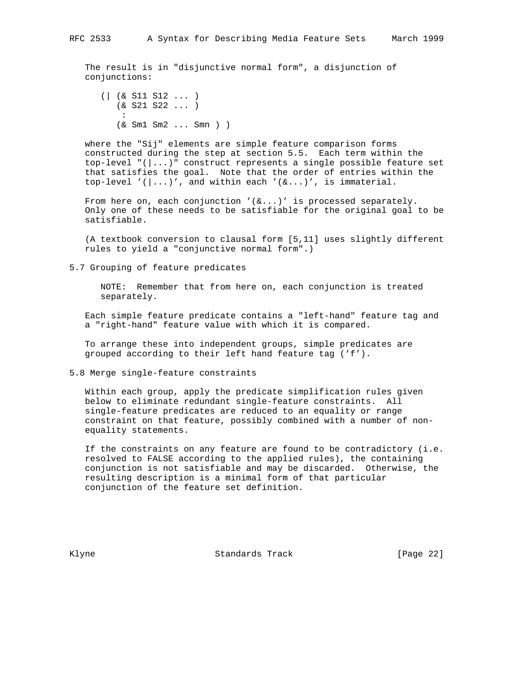The result is in "disjunctive normal form", a disjunction of conjunctions:

 (| (& S11 S12 ... ) (& S21 S22 ... ) : 100 million 1 (& Sm1 Sm2 ... Smn ) )

 where the "Sij" elements are simple feature comparison forms constructed during the step at section 5.5. Each term within the top-level "(|...)" construct represents a single possible feature set that satisfies the goal. Note that the order of entries within the top-level '(|...)', and within each '(&...)', is immaterial.

From here on, each conjunction  $'(\&\ldots)'$  is processed separately. Only one of these needs to be satisfiable for the original goal to be satisfiable.

 (A textbook conversion to clausal form [5,11] uses slightly different rules to yield a "conjunctive normal form".)

5.7 Grouping of feature predicates

 NOTE: Remember that from here on, each conjunction is treated separately.

 Each simple feature predicate contains a "left-hand" feature tag and a "right-hand" feature value with which it is compared.

 To arrange these into independent groups, simple predicates are grouped according to their left hand feature tag ('f').

5.8 Merge single-feature constraints

 Within each group, apply the predicate simplification rules given below to eliminate redundant single-feature constraints. All single-feature predicates are reduced to an equality or range constraint on that feature, possibly combined with a number of non equality statements.

 If the constraints on any feature are found to be contradictory (i.e. resolved to FALSE according to the applied rules), the containing conjunction is not satisfiable and may be discarded. Otherwise, the resulting description is a minimal form of that particular conjunction of the feature set definition.

Klyne **Standards Track** [Page 22]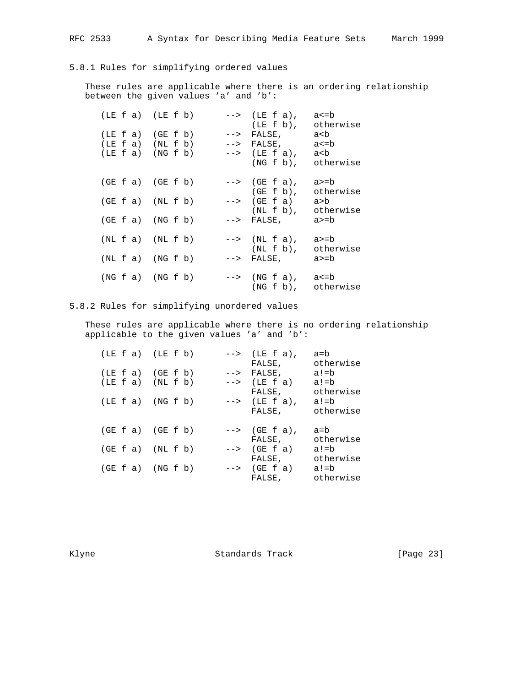## 5.8.1 Rules for simplifying ordered values

 These rules are applicable where there is an ordering relationship between the given values 'a' and 'b':

|  | $(LE f a)$ $(LE f b)$ |                      | $\left(-\right)$ (LE f a),<br>$(LE E b)$ ,                                                                                                                                                                                                                                                                                                                                                                                                                                                            | a<=b<br>otherwise |
|--|-----------------------|----------------------|-------------------------------------------------------------------------------------------------------------------------------------------------------------------------------------------------------------------------------------------------------------------------------------------------------------------------------------------------------------------------------------------------------------------------------------------------------------------------------------------------------|-------------------|
|  | $(LE f a)$ $(GE f b)$ |                      | $\mathord{\hspace{1pt}\text{--}\hspace{1pt}}\mathord{\hspace{1pt}}\mathord{\hspace{1pt}}\mathord{\hspace{1pt}}\mathord{\hspace{1pt}}\mathord{\hspace{1pt}}\mathord{\hspace{1pt}}\mathord{\hspace{1pt}}\mathord{\hspace{1pt}}\mathord{\hspace{1pt}}\mathord{\hspace{1pt}}\mathord{\hspace{1pt}}\mathord{\hspace{1pt}}\mathord{\hspace{1pt}}\mathord{\hspace{1pt}}\mathord{\hspace{1pt}}\mathord{\hspace{1pt}}\mathord{\hspace{1pt}}\mathord{\hspace{1pt}}\mathord{\hspace{1pt}}\mathord{\hspace{1pt}}$ | a <b< td=""></b<> |
|  | $(LE f a)$ $(NL f b)$ |                      | $\leftarrow$ > FALSE,                                                                                                                                                                                                                                                                                                                                                                                                                                                                                 | a<=b              |
|  | (LE f a) (NG f b)     |                      | $\leftarrow$ > (LE f a),                                                                                                                                                                                                                                                                                                                                                                                                                                                                              | a <b< td=""></b<> |
|  |                       |                      | $(NG f b)$ , otherwise                                                                                                                                                                                                                                                                                                                                                                                                                                                                                |                   |
|  | $(GE f a)$ $(GE f b)$ |                      | $\left(-\right)$ (GE f a),                                                                                                                                                                                                                                                                                                                                                                                                                                                                            | a>=b              |
|  |                       |                      | $(GE \t b)$ ,                                                                                                                                                                                                                                                                                                                                                                                                                                                                                         | otherwise         |
|  | $(GE f a)$ $(NL f b)$ |                      | $\leftarrow$ > (GE f a)                                                                                                                                                                                                                                                                                                                                                                                                                                                                               | a>b               |
|  | $(GE f a)$ $(NG f b)$ |                      | $(NL f b)$ , otherwise<br>$\leftarrow$ > FALSE,                                                                                                                                                                                                                                                                                                                                                                                                                                                       | a>=b              |
|  | $(NL \tA)$ $(NL \tB)$ |                      | $\leftarrow$ > (NL f a), a >= b<br>(NL f b),                                                                                                                                                                                                                                                                                                                                                                                                                                                          | otherwise         |
|  |                       | $(NL \tA$ $(NG \tL)$ | $\mathord{\hspace{1pt}\text{--}\hspace{1pt}}\mathord{\hspace{1pt}}\mathord{\hspace{1pt}}\mathord{\hspace{1pt}}\mathord{\hspace{1pt}}\mathord{\hspace{1pt}}\mathord{\hspace{1pt}}\mathord{\hspace{1pt}}\mathord{\hspace{1pt}}\mathord{\hspace{1pt}}\mathord{\hspace{1pt}}\mathord{\hspace{1pt}}\mathord{\hspace{1pt}}\mathord{\hspace{1pt}}\mathord{\hspace{1pt}}\mathord{\hspace{1pt}}\mathord{\hspace{1pt}}\mathord{\hspace{1pt}}\mathord{\hspace{1pt}}\mathord{\hspace{1pt}}\mathord{\hspace{1pt}}$ | a>=b              |
|  |                       | (NG f a) (NG f b)    | $\left(-\right)$ (NG f a), a <= b<br>$(NGE b)$ ,                                                                                                                                                                                                                                                                                                                                                                                                                                                      | otherwise         |

## 5.8.2 Rules for simplifying unordered values

 These rules are applicable where there is no ordering relationship applicable to the given values 'a' and 'b':

| $(LE f a)$ $(LE f b)$                          |  |  | $\leftarrow$ > (LE f a),<br>FALSE,                                     | a=b<br>otherwise          |
|------------------------------------------------|--|--|------------------------------------------------------------------------|---------------------------|
| $(LE f a)$ $(GE f b)$<br>$(LE f a)$ $(NL f b)$ |  |  | $\leftarrow$ > FALSE,<br>$\leftarrow$ $\rightarrow$ (LE f a)<br>FALSE, | a!=b<br>a!=b<br>otherwise |
| $(LE f a)$ $(NG f b)$                          |  |  | $\leftarrow$ > (LE f a),<br>FALSE,                                     | a!=b<br>otherwise         |
| $(GE f a)$ $(GE f b)$                          |  |  | $\left(-\right)$ (GE f a),<br>FALSE,                                   | a=b<br>otherwise          |
| $(GE f a)$ $(NL f b)$                          |  |  | $\leftarrow$ > (GE f a)<br>FALSE,                                      | a!=b<br>otherwise         |
| $(GE f a)$ $(NG f b)$                          |  |  | $\leftarrow$ $\rightarrow$ (GE f a)<br>FALSE,                          | a!=b<br>otherwise         |

Klyne Standards Track [Page 23]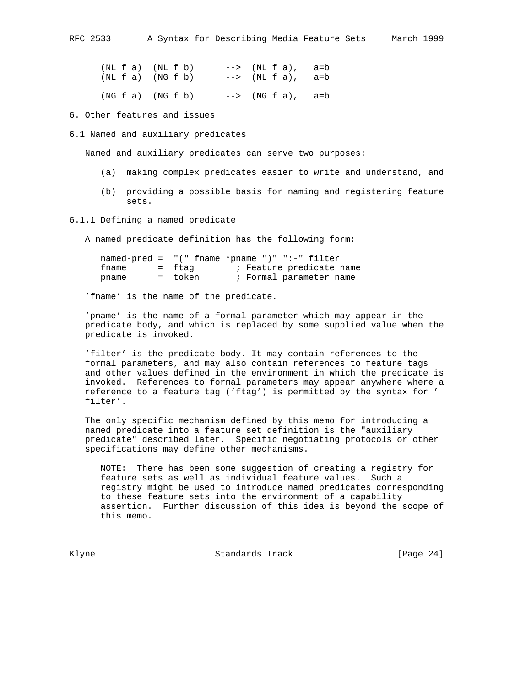|  | $(NL f a)$ $(NL f b)$ |  |  |  | $\left(-\right)$ (NL f a), a=b |  |
|--|-----------------------|--|--|--|--------------------------------|--|
|  | $(NL f a)$ $(NG f b)$ |  |  |  | $\left(-\right)$ (NL f a), a=b |  |
|  | (NG f a) (NG f b)     |  |  |  | $\left(-\right)$ (NG f a), a=b |  |

6. Other features and issues

6.1 Named and auxiliary predicates

Named and auxiliary predicates can serve two purposes:

- (a) making complex predicates easier to write and understand, and
- (b) providing a possible basis for naming and registering feature sets.

6.1.1 Defining a named predicate

A named predicate definition has the following form:

|       |         | named-pred = $"(" \text{frame *}}" " " :- " \text{filter" }$ |
|-------|---------|--------------------------------------------------------------|
| fname | = ftag  | ; Feature predicate name                                     |
| pname | = token | ; Formal parameter name                                      |

'fname' is the name of the predicate.

 'pname' is the name of a formal parameter which may appear in the predicate body, and which is replaced by some supplied value when the predicate is invoked.

 'filter' is the predicate body. It may contain references to the formal parameters, and may also contain references to feature tags and other values defined in the environment in which the predicate is invoked. References to formal parameters may appear anywhere where a reference to a feature tag ('ftag') is permitted by the syntax for ' filter'.

 The only specific mechanism defined by this memo for introducing a named predicate into a feature set definition is the "auxiliary predicate" described later. Specific negotiating protocols or other specifications may define other mechanisms.

 NOTE: There has been some suggestion of creating a registry for feature sets as well as individual feature values. Such a registry might be used to introduce named predicates corresponding to these feature sets into the environment of a capability assertion. Further discussion of this idea is beyond the scope of this memo.

Klyne **Standards Track** [Page 24]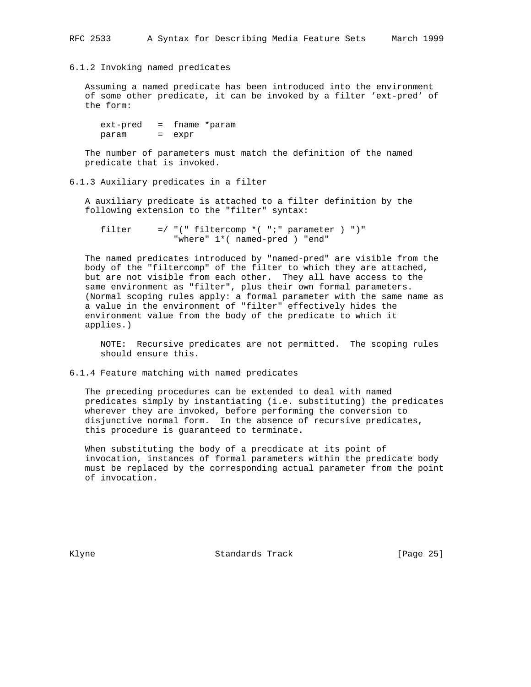### 6.1.2 Invoking named predicates

 Assuming a named predicate has been introduced into the environment of some other predicate, it can be invoked by a filter 'ext-pred' of the form:

 ext-pred = fname \*param param = expr

 The number of parameters must match the definition of the named predicate that is invoked.

# 6.1.3 Auxiliary predicates in a filter

 A auxiliary predicate is attached to a filter definition by the following extension to the "filter" syntax:

filter  $=$  / "(" filtercomp  $*($  ";" parameter  $)$  ")" "where" 1\*( named-pred ) "end"

 The named predicates introduced by "named-pred" are visible from the body of the "filtercomp" of the filter to which they are attached, but are not visible from each other. They all have access to the same environment as "filter", plus their own formal parameters. (Normal scoping rules apply: a formal parameter with the same name as a value in the environment of "filter" effectively hides the environment value from the body of the predicate to which it applies.)

 NOTE: Recursive predicates are not permitted. The scoping rules should ensure this.

6.1.4 Feature matching with named predicates

 The preceding procedures can be extended to deal with named predicates simply by instantiating (i.e. substituting) the predicates wherever they are invoked, before performing the conversion to disjunctive normal form. In the absence of recursive predicates, this procedure is guaranteed to terminate.

 When substituting the body of a precdicate at its point of invocation, instances of formal parameters within the predicate body must be replaced by the corresponding actual parameter from the point of invocation.

Klyne **Standards Track** [Page 25]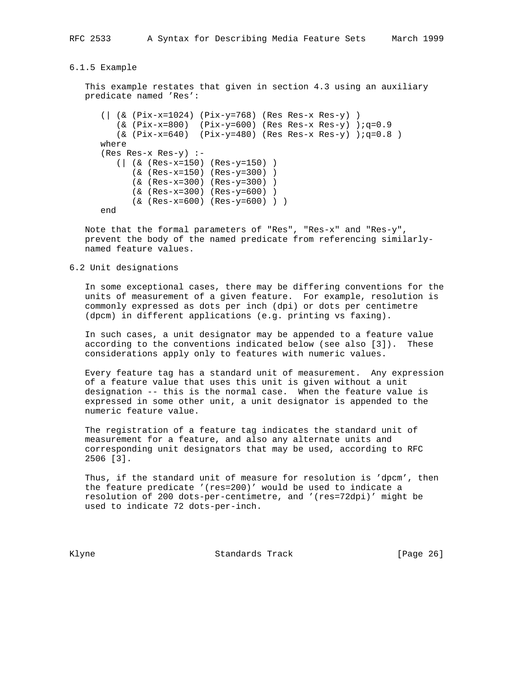#### 6.1.5 Example

 This example restates that given in section 4.3 using an auxiliary predicate named 'Res':

```
 (| (& (Pix-x=1024) (Pix-y=768) (Res Res-x Res-y) )
   (x (Pix-x=800) (Pix-y=600) (Res Res-x Res-y) iq=0.9(k \text{ (pix-x=640)} \quad (pix-y=480) \quad (Res Res-x Res-y) \quad (iq=0.8) where
 (Res Res-x Res-y) :-
    (| (& (Res-x=150) (Res-y=150) )
       (& (Res-x=150) (Res-y=300) )
       (& (Res-x=300) (Res-y=300) )
       (& (Res-x=300) (Res-y=600) )
       (& (Res-x=600) (Res-y=600) ) )
 end
```
 Note that the formal parameters of "Res", "Res-x" and "Res-y", prevent the body of the named predicate from referencing similarly named feature values.

## 6.2 Unit designations

 In some exceptional cases, there may be differing conventions for the units of measurement of a given feature. For example, resolution is commonly expressed as dots per inch (dpi) or dots per centimetre (dpcm) in different applications (e.g. printing vs faxing).

 In such cases, a unit designator may be appended to a feature value according to the conventions indicated below (see also [3]). These considerations apply only to features with numeric values.

 Every feature tag has a standard unit of measurement. Any expression of a feature value that uses this unit is given without a unit designation -- this is the normal case. When the feature value is expressed in some other unit, a unit designator is appended to the numeric feature value.

 The registration of a feature tag indicates the standard unit of measurement for a feature, and also any alternate units and corresponding unit designators that may be used, according to RFC 2506 [3].

 Thus, if the standard unit of measure for resolution is 'dpcm', then the feature predicate '(res=200)' would be used to indicate a resolution of 200 dots-per-centimetre, and '(res=72dpi)' might be used to indicate 72 dots-per-inch.

Klyne **Standards Track** [Page 26]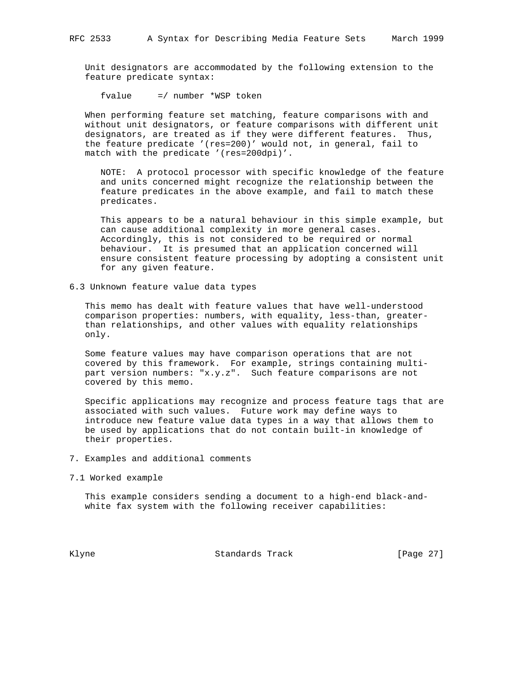Unit designators are accommodated by the following extension to the feature predicate syntax:

fvalue =/ number \*WSP token

 When performing feature set matching, feature comparisons with and without unit designators, or feature comparisons with different unit designators, are treated as if they were different features. Thus, the feature predicate '(res=200)' would not, in general, fail to match with the predicate '(res=200dpi)'.

 NOTE: A protocol processor with specific knowledge of the feature and units concerned might recognize the relationship between the feature predicates in the above example, and fail to match these predicates.

 This appears to be a natural behaviour in this simple example, but can cause additional complexity in more general cases. Accordingly, this is not considered to be required or normal behaviour. It is presumed that an application concerned will ensure consistent feature processing by adopting a consistent unit for any given feature.

6.3 Unknown feature value data types

 This memo has dealt with feature values that have well-understood comparison properties: numbers, with equality, less-than, greater than relationships, and other values with equality relationships only.

 Some feature values may have comparison operations that are not covered by this framework. For example, strings containing multi part version numbers: "x.y.z". Such feature comparisons are not covered by this memo.

 Specific applications may recognize and process feature tags that are associated with such values. Future work may define ways to introduce new feature value data types in a way that allows them to be used by applications that do not contain built-in knowledge of their properties.

- 7. Examples and additional comments
- 7.1 Worked example

 This example considers sending a document to a high-end black-and white fax system with the following receiver capabilities:

Klyne Standards Track [Page 27]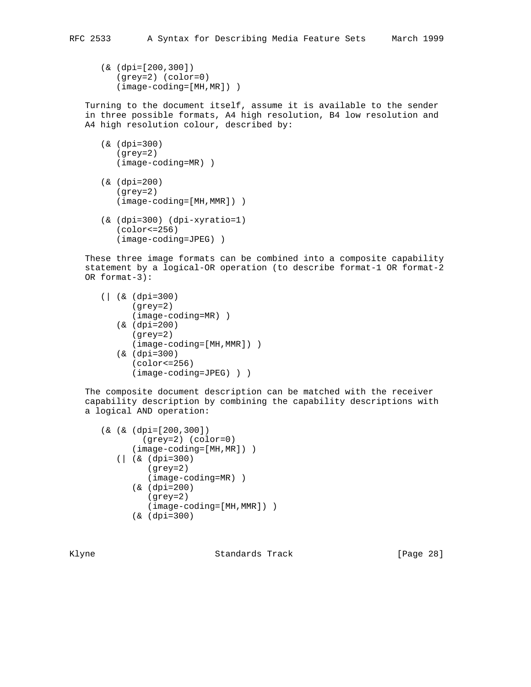(& (dpi=[200,300]) (grey=2) (color=0) (image-coding=[MH,MR]) )

 Turning to the document itself, assume it is available to the sender in three possible formats, A4 high resolution, B4 low resolution and A4 high resolution colour, described by:

- (& (dpi=300) (grey=2) (image-coding=MR) )
- (& (dpi=200) (grey=2) (image-coding=[MH,MMR]) )
- (& (dpi=300) (dpi-xyratio=1) (color<=256) (image-coding=JPEG) )

 These three image formats can be combined into a composite capability statement by a logical-OR operation (to describe format-1 OR format-2 OR format-3):

```
 (| (& (dpi=300)
       (grey=2)
       (image-coding=MR) )
    (& (dpi=200)
       (grey=2)
       (image-coding=[MH,MMR]) )
    (& (dpi=300)
       (color<=256)
       (image-coding=JPEG) ) )
```
 The composite document description can be matched with the receiver capability description by combining the capability descriptions with a logical AND operation:

```
 (& (& (dpi=[200,300])
         (grey=2) (color=0)
       (image-coding=[MH,MR]) )
    (| (& (dpi=300)
          (grey=2)
          (image-coding=MR) )
       (& (dpi=200)
          (grey=2)
          (image-coding=[MH,MMR]) )
       (& (dpi=300)
```
Klyne **Standards Track** [Page 28]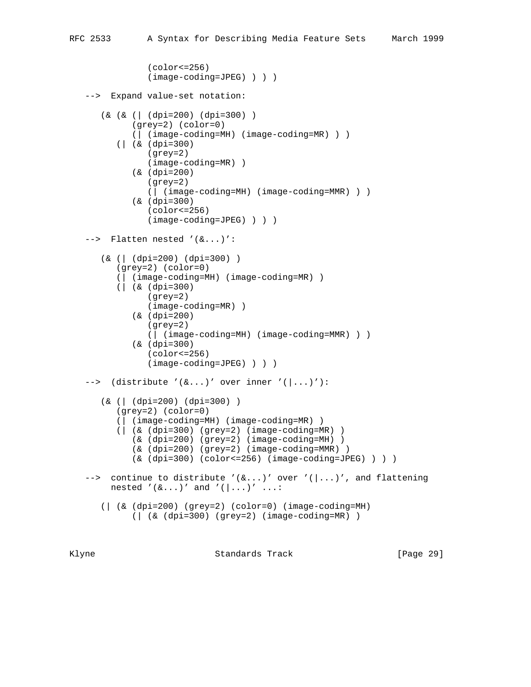```
 (color<=256)
              (image-coding=JPEG) ) ) )
 --> Expand value-set notation:
    (& (& (| (dpi=200) (dpi=300) )
          (grey=2) (color=0)
          (| (image-coding=MH) (image-coding=MR) ) )
       (| (& (dpi=300)
             (grey=2)
             (image-coding=MR) )
          (& (dpi=200)
              (grey=2)
              (| (image-coding=MH) (image-coding=MMR) ) )
          (& (dpi=300)
             (color<=256)
              (image-coding=JPEG) ) ) )
 --> Flatten nested '(&...)':
    (& (| (dpi=200) (dpi=300) )
       (grey=2) (color=0)
       (| (image-coding=MH) (image-coding=MR) )
       (| (& (dpi=300)
              (grey=2)
              (image-coding=MR) )
          (& (dpi=200)
              (grey=2)
              (| (image-coding=MH) (image-coding=MMR) ) )
          (& (dpi=300)
             (color<=256)
              (image-coding=JPEG) ) ) )
--> (distribute '(&...)' over inner '(|...)'):
    (& (| (dpi=200) (dpi=300) )
       (grey=2) (color=0)
       (| (image-coding=MH) (image-coding=MR) )
       (| (& (dpi=300) (grey=2) (image-coding=MR) )
          (& (dpi=200) (grey=2) (image-coding=MH) )
          (& (dpi=200) (grey=2) (image-coding=MMR) )
          (& (dpi=300) (color<=256) (image-coding=JPEG) ) ) )
--> continue to distribute '(\&\ldots)' over '(\cdot|\ldots)', and flattening
     nested '(\&\ldots)' and '(\ldots)' ...:
    (| (& (dpi=200) (grey=2) (color=0) (image-coding=MH)
          (| (& (dpi=300) (grey=2) (image-coding=MR) )
```
Klyne **Standards Track** [Page 29]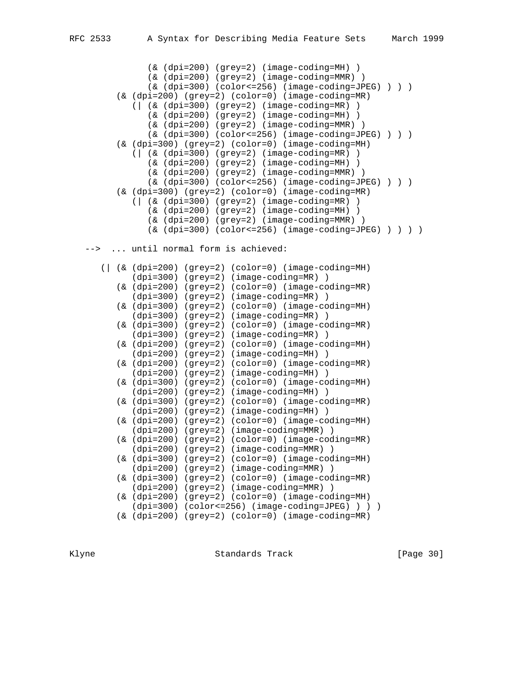(& (dpi=200) (grey=2) (image-coding=MH) ) (& (dpi=200) (grey=2) (image-coding=MMR) )  $(\&$  (dpi=300) (color <= 256) (image-coding=JPEG) ) ) (& (dpi=200) (grey=2) (color=0) (image-coding=MR) (| (& (dpi=300) (grey=2) (image-coding=MR) ) (& (dpi=200) (grey=2) (image-coding=MH) ) (& (dpi=200) (grey=2) (image-coding=MMR) ) (& (dpi=300) (color<=256) (image-coding=JPEG) ) ) ) (& (dpi=300) (grey=2) (color=0) (image-coding=MH) (| (& (dpi=300) (grey=2) (image-coding=MR) ) (& (dpi=200) (grey=2) (image-coding=MH) ) (& (dpi=200) (grey=2) (image-coding=MMR) ) (& (dpi=300) (color<=256) (image-coding=JPEG) ) ) ) (& (dpi=300) (grey=2) (color=0) (image-coding=MR) (| (& (dpi=300) (grey=2) (image-coding=MR) ) (& (dpi=200) (grey=2) (image-coding=MH) ) (& (dpi=200) (grey=2) (image-coding=MMR) )  $(\&$  (dpi=300) (color <= 256) (image-coding=JPEG) ) ) )

--> ... until normal form is achieved:

 (| (& (dpi=200) (grey=2) (color=0) (image-coding=MH) (dpi=300) (grey=2) (image-coding=MR) ) (& (dpi=200) (grey=2) (color=0) (image-coding=MR) (dpi=300) (grey=2) (image-coding=MR) ) (& (dpi=300) (grey=2) (color=0) (image-coding=MH) (dpi=300) (grey=2) (image-coding=MR) ) (& (dpi=300) (grey=2) (color=0) (image-coding=MR) (dpi=300) (grey=2) (image-coding=MR) ) (& (dpi=200) (grey=2) (color=0) (image-coding=MH) (dpi=200) (grey=2) (image-coding=MH) ) (& (dpi=200) (grey=2) (color=0) (image-coding=MR) (dpi=200) (grey=2) (image-coding=MH) ) (& (dpi=300) (grey=2) (color=0) (image-coding=MH) (dpi=200) (grey=2) (image-coding=MH) ) (& (dpi=300) (grey=2) (color=0) (image-coding=MR) (dpi=200) (grey=2) (image-coding=MH) ) (& (dpi=200) (grey=2) (color=0) (image-coding=MH) (dpi=200) (grey=2) (image-coding=MMR) ) (& (dpi=200) (grey=2) (color=0) (image-coding=MR) (dpi=200) (grey=2) (image-coding=MMR) ) (& (dpi=300) (grey=2) (color=0) (image-coding=MH) (dpi=200) (grey=2) (image-coding=MMR) ) (& (dpi=300) (grey=2) (color=0) (image-coding=MR) (dpi=200) (grey=2) (image-coding=MMR) ) (& (dpi=200) (grey=2) (color=0) (image-coding=MH) (dpi=300) (color<=256) (image-coding=JPEG) ) ) ) (& (dpi=200) (grey=2) (color=0) (image-coding=MR)

Klyne **Standards Track** [Page 30]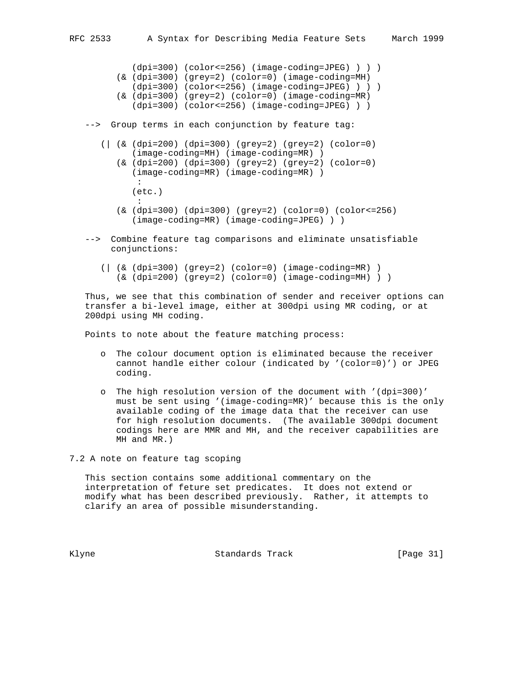(dpi=300) (color<=256) (image-coding=JPEG) ) ) ) (& (dpi=300) (grey=2) (color=0) (image-coding=MH) (dpi=300) (color<=256) (image-coding=JPEG) ) ) ) (& (dpi=300) (grey=2) (color=0) (image-coding=MR) (dpi=300) (color<=256) (image-coding=JPEG) ) ) --> Group terms in each conjunction by feature tag: (| (& (dpi=200) (dpi=300) (grey=2) (grey=2) (color=0) (image-coding=MH) (image-coding=MR) ) (& (dpi=200) (dpi=300) (grey=2) (grey=2) (color=0) (image-coding=MR) (image-coding=MR) ) : (etc.) : (& (dpi=300) (dpi=300) (grey=2) (color=0) (color<=256) (image-coding=MR) (image-coding=JPEG) ) ) --> Combine feature tag comparisons and eliminate unsatisfiable

- conjunctions:
	- (| (& (dpi=300) (grey=2) (color=0) (image-coding=MR) ) (& (dpi=200) (grey=2) (color=0) (image-coding=MH) ) )

 Thus, we see that this combination of sender and receiver options can transfer a bi-level image, either at 300dpi using MR coding, or at 200dpi using MH coding.

Points to note about the feature matching process:

- o The colour document option is eliminated because the receiver cannot handle either colour (indicated by '(color=0)') or JPEG coding.
- o The high resolution version of the document with '(dpi=300)' must be sent using '(image-coding=MR)' because this is the only available coding of the image data that the receiver can use for high resolution documents. (The available 300dpi document codings here are MMR and MH, and the receiver capabilities are MH and MR.)

7.2 A note on feature tag scoping

 This section contains some additional commentary on the interpretation of feture set predicates. It does not extend or modify what has been described previously. Rather, it attempts to clarify an area of possible misunderstanding.

Klyne **Standards Track** [Page 31]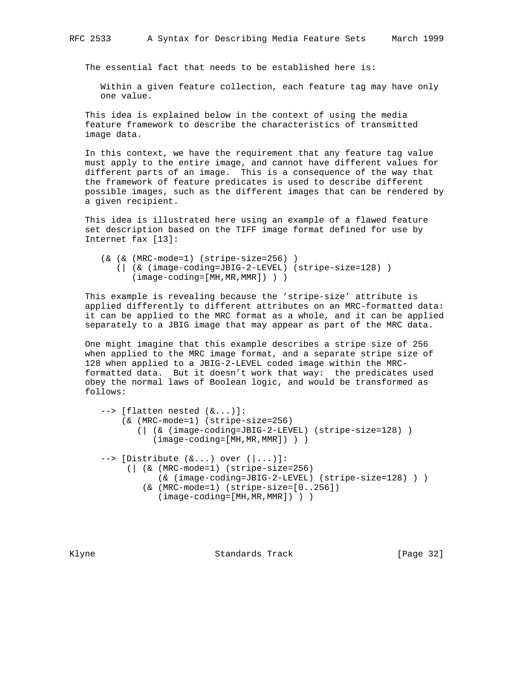The essential fact that needs to be established here is:

 Within a given feature collection, each feature tag may have only one value.

 This idea is explained below in the context of using the media feature framework to describe the characteristics of transmitted image data.

 In this context, we have the requirement that any feature tag value must apply to the entire image, and cannot have different values for different parts of an image. This is a consequence of the way that the framework of feature predicates is used to describe different possible images, such as the different images that can be rendered by a given recipient.

 This idea is illustrated here using an example of a flawed feature set description based on the TIFF image format defined for use by Internet fax [13]:

```
 (& (& (MRC-mode=1) (stripe-size=256) )
    (| (& (image-coding=JBIG-2-LEVEL) (stripe-size=128) )
       (image-coding=[MH,MR,MMR]) ) )
```
 This example is revealing because the 'stripe-size' attribute is applied differently to different attributes on an MRC-formatted data: it can be applied to the MRC format as a whole, and it can be applied separately to a JBIG image that may appear as part of the MRC data.

 One might imagine that this example describes a stripe size of 256 when applied to the MRC image format, and a separate stripe size of 128 when applied to a JBIG-2-LEVEL coded image within the MRC formatted data. But it doesn't work that way: the predicates used obey the normal laws of Boolean logic, and would be transformed as follows:

```
 --> [flatten nested (&...)]:
     (& (MRC-mode=1) (stripe-size=256)
        (| (& (image-coding=JBIG-2-LEVEL) (stripe-size=128) )
           (image-coding=[MH,MR,MMR]) ) )
 --> [Distribute (&...) over (|...)]:
      (| (& (MRC-mode=1) (stripe-size=256)
            (& (image-coding=JBIG-2-LEVEL) (stripe-size=128) ) )
         (& (MRC-mode=1) (stripe-size=[0..256])
            (image-coding=[MH,MR,MMR]) ) )
```
Klyne Standards Track [Page 32]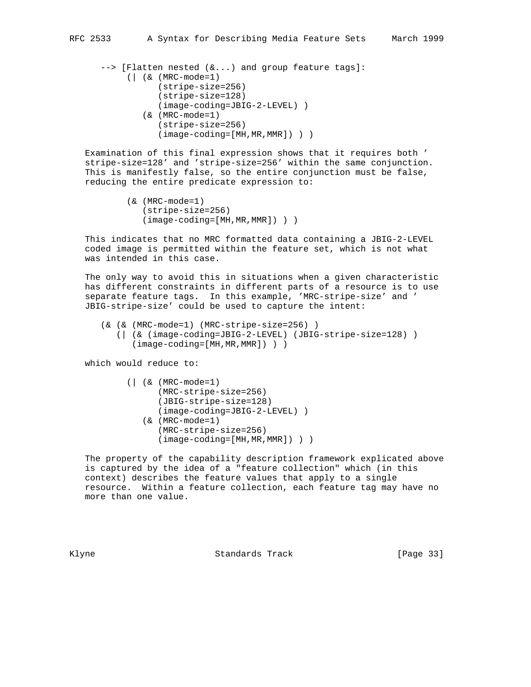```
 --> [Flatten nested (&...) and group feature tags]:
      (| (& (MRC-mode=1)
            (stripe-size=256)
            (stripe-size=128)
            (image-coding=JBIG-2-LEVEL) )
         (& (MRC-mode=1)
            (stripe-size=256)
            (image-coding=[MH,MR,MMR]) ) )
```
 Examination of this final expression shows that it requires both ' stripe-size=128' and 'stripe-size=256' within the same conjunction. This is manifestly false, so the entire conjunction must be false, reducing the entire predicate expression to:

```
 (& (MRC-mode=1)
    (stripe-size=256)
    (image-coding=[MH,MR,MMR]) ) )
```
 This indicates that no MRC formatted data containing a JBIG-2-LEVEL coded image is permitted within the feature set, which is not what was intended in this case.

 The only way to avoid this in situations when a given characteristic has different constraints in different parts of a resource is to use separate feature tags. In this example, 'MRC-stripe-size' and ' JBIG-stripe-size' could be used to capture the intent:

```
 (& (& (MRC-mode=1) (MRC-stripe-size=256) )
    (| (& (image-coding=JBIG-2-LEVEL) (JBIG-stripe-size=128) )
       (image-coding=[MH,MR,MMR]) ) )
```
which would reduce to:

```
 (| (& (MRC-mode=1)
       (MRC-stripe-size=256)
       (JBIG-stripe-size=128)
       (image-coding=JBIG-2-LEVEL) )
    (& (MRC-mode=1)
       (MRC-stripe-size=256)
       (image-coding=[MH,MR,MMR]) ) )
```
 The property of the capability description framework explicated above is captured by the idea of a "feature collection" which (in this context) describes the feature values that apply to a single resource. Within a feature collection, each feature tag may have no more than one value.

Klyne **Standards Track** [Page 33]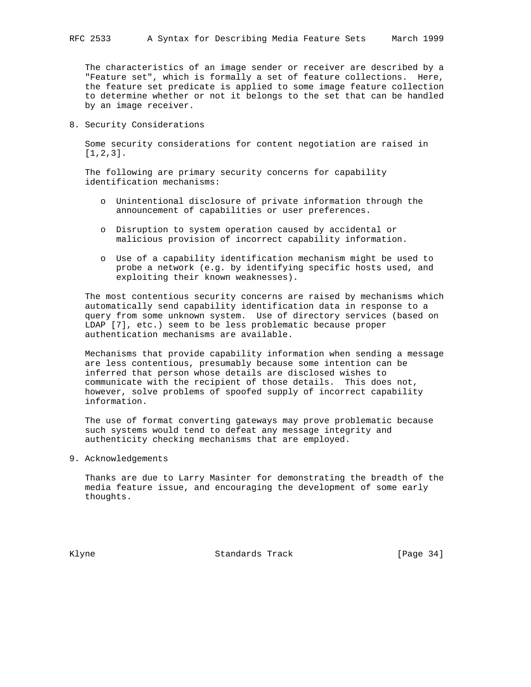The characteristics of an image sender or receiver are described by a "Feature set", which is formally a set of feature collections. Here, the feature set predicate is applied to some image feature collection to determine whether or not it belongs to the set that can be handled by an image receiver.

8. Security Considerations

 Some security considerations for content negotiation are raised in [1,2,3].

 The following are primary security concerns for capability identification mechanisms:

- o Unintentional disclosure of private information through the announcement of capabilities or user preferences.
- o Disruption to system operation caused by accidental or malicious provision of incorrect capability information.
- o Use of a capability identification mechanism might be used to probe a network (e.g. by identifying specific hosts used, and exploiting their known weaknesses).

 The most contentious security concerns are raised by mechanisms which automatically send capability identification data in response to a query from some unknown system. Use of directory services (based on LDAP [7], etc.) seem to be less problematic because proper authentication mechanisms are available.

 Mechanisms that provide capability information when sending a message are less contentious, presumably because some intention can be inferred that person whose details are disclosed wishes to communicate with the recipient of those details. This does not, however, solve problems of spoofed supply of incorrect capability information.

 The use of format converting gateways may prove problematic because such systems would tend to defeat any message integrity and authenticity checking mechanisms that are employed.

9. Acknowledgements

 Thanks are due to Larry Masinter for demonstrating the breadth of the media feature issue, and encouraging the development of some early thoughts.

Klyne **Standards Track** [Page 34]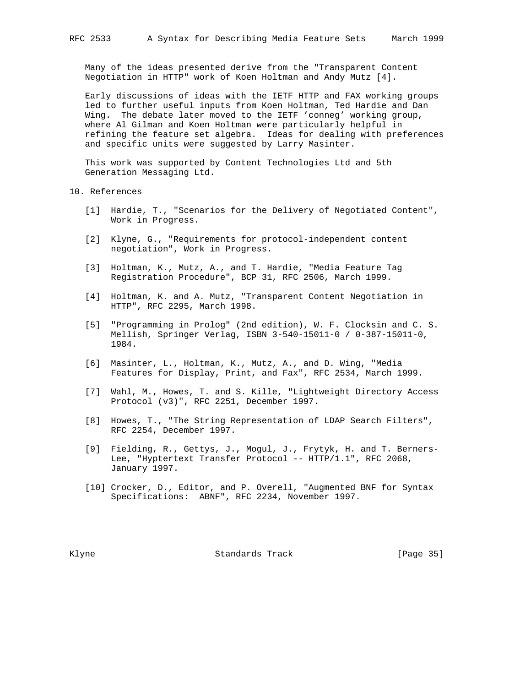Many of the ideas presented derive from the "Transparent Content Negotiation in HTTP" work of Koen Holtman and Andy Mutz [4].

 Early discussions of ideas with the IETF HTTP and FAX working groups led to further useful inputs from Koen Holtman, Ted Hardie and Dan Wing. The debate later moved to the IETF 'conneg' working group, where Al Gilman and Koen Holtman were particularly helpful in refining the feature set algebra. Ideas for dealing with preferences and specific units were suggested by Larry Masinter.

 This work was supported by Content Technologies Ltd and 5th Generation Messaging Ltd.

10. References

- [1] Hardie, T., "Scenarios for the Delivery of Negotiated Content", Work in Progress.
- [2] Klyne, G., "Requirements for protocol-independent content negotiation", Work in Progress.
- [3] Holtman, K., Mutz, A., and T. Hardie, "Media Feature Tag Registration Procedure", BCP 31, RFC 2506, March 1999.
- [4] Holtman, K. and A. Mutz, "Transparent Content Negotiation in HTTP", RFC 2295, March 1998.
- [5] "Programming in Prolog" (2nd edition), W. F. Clocksin and C. S. Mellish, Springer Verlag, ISBN 3-540-15011-0 / 0-387-15011-0, 1984.
- [6] Masinter, L., Holtman, K., Mutz, A., and D. Wing, "Media Features for Display, Print, and Fax", RFC 2534, March 1999.
- [7] Wahl, M., Howes, T. and S. Kille, "Lightweight Directory Access Protocol (v3)", RFC 2251, December 1997.
- [8] Howes, T., "The String Representation of LDAP Search Filters", RFC 2254, December 1997.
- [9] Fielding, R., Gettys, J., Mogul, J., Frytyk, H. and T. Berners- Lee, "Hyptertext Transfer Protocol -- HTTP/1.1", RFC 2068, January 1997.
- [10] Crocker, D., Editor, and P. Overell, "Augmented BNF for Syntax Specifications: ABNF", RFC 2234, November 1997.

Klyne **Standards Track** [Page 35]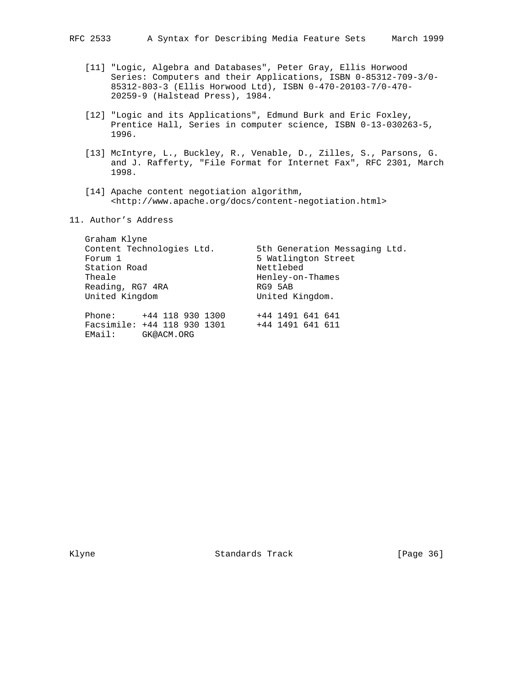- [11] "Logic, Algebra and Databases", Peter Gray, Ellis Horwood Series: Computers and their Applications, ISBN 0-85312-709-3/0- 85312-803-3 (Ellis Horwood Ltd), ISBN 0-470-20103-7/0-470- 20259-9 (Halstead Press), 1984.
- [12] "Logic and its Applications", Edmund Burk and Eric Foxley, Prentice Hall, Series in computer science, ISBN 0-13-030263-5, 1996.
- [13] McIntyre, L., Buckley, R., Venable, D., Zilles, S., Parsons, G. and J. Rafferty, "File Format for Internet Fax", RFC 2301, March 1998.
- [14] Apache content negotiation algorithm, <http://www.apache.org/docs/content-negotiation.html>
- 11. Author's Address

| Graham Klyne<br>Content Technologies Ltd.<br>Forum 1<br>Station Road<br>Theale<br>Reading, RG7 4RA<br>United Kingdom |  |                                      | 5th Generation Messaging Ltd.<br>5 Watlington Street<br>Nettlebed<br>Henley-on-Thames<br>RG9 5AB<br>United Kingdom. |  |  |  |  |  |
|----------------------------------------------------------------------------------------------------------------------|--|--------------------------------------|---------------------------------------------------------------------------------------------------------------------|--|--|--|--|--|
| Phone: +44 118 930 1300<br>Facsimile: +44 118 930 1301<br>EMail:                                                     |  | +44 1491 641 641<br>+44 1491 641 611 |                                                                                                                     |  |  |  |  |  |

Klyne Standards Track [Page 36]